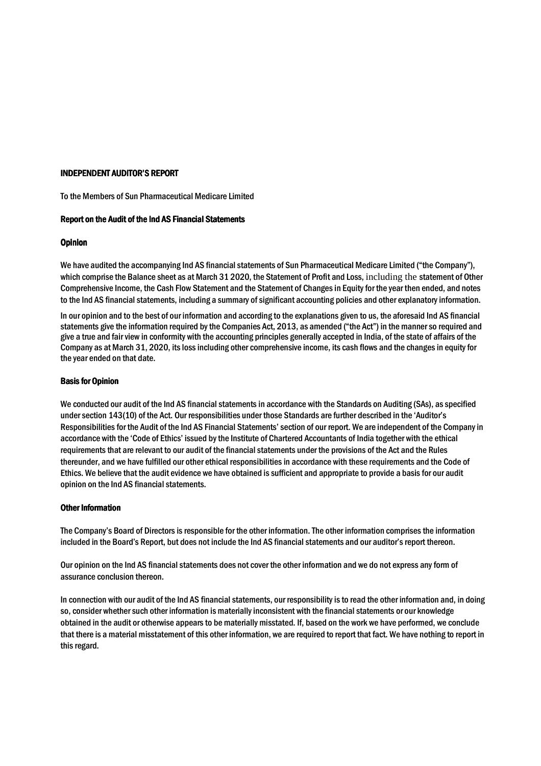### INDEPENDENT AUDITOR'S REPORT

To the Members of Sun Pharmaceutical Medicare Limited

### Report on the Audit of the Ind AS Financial Statements

### **Opinion**

We have audited the accompanying Ind AS financial statements of Sun Pharmaceutical Medicare Limited ("the Company"), which comprise the Balance sheet as at March 31 2020, the Statement of Profit and Loss, including the statement of Other Comprehensive Income, the Cash Flow Statement and the Statement of Changes in Equity for the year then ended, and notes to the Ind AS financial statements, including a summary of significant accounting policies and other explanatory information.

In our opinion and to the best of our information and according to the explanations given to us, the aforesaid Ind AS financial statements give the information required by the Companies Act, 2013, as amended ("the Act") in the manner so required and give a true and fair view in conformity with the accounting principles generally accepted in India, of the state of affairs of the Company as at March 31, 2020, its loss including other comprehensive income, its cash flows and the changes in equity for the year ended on that date.

### **Basis for Opinion**

We conducted our audit of the Ind AS financial statements in accordance with the Standards on Auditing (SAs), as specified under section 143(10) of the Act. Our responsibilities under those Standards are further described in the 'Auditor's Responsibilities for the Audit of the Ind AS Financial Statements'section of our report. We are independent of the Company in accordance with the 'Code of Ethics' issued by the Institute of Chartered Accountants of India together with the ethical requirements that are relevant to our audit of the financial statements under the provisions of the Act and the Rules thereunder, and we have fulfilled our other ethical responsibilities in accordance with these requirements and the Code of Ethics. We believe that the audit evidence we have obtained is sufficient and appropriate to provide a basis for our audit opinion on the Ind AS financial statements.

#### Other Information

The Company's Board of Directors is responsible for the other information. The other information comprises the information included in the Board's Report, but does not include the Ind AS financial statements and our auditor's report thereon.

Our opinion on the Ind AS financial statements does not cover the other information and we do not express any form of assurance conclusion thereon.

In connection with our audit of the Ind AS financial statements, our responsibility is to read the other information and, in doing so, consider whether such other information is materially inconsistent with the financial statements or our knowledge obtained in the audit or otherwise appears to be materially misstated. If, based on the work we have performed, we conclude that there is a material misstatement of this other information, we are required to report that fact. We have nothing to report in this regard.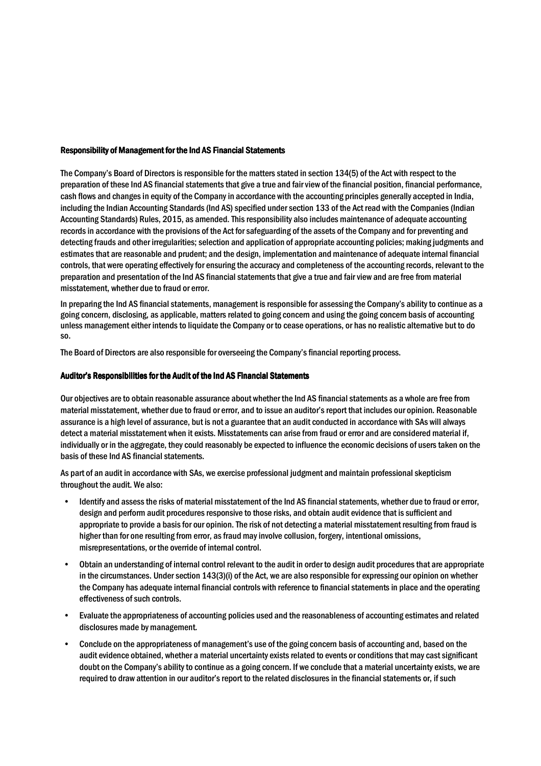#### Responsibility of Management for the Ind AS Financial Statements al

The Company's Board of Directors is responsible for the matters stated in section 134(5) of the Act with respect to the preparation of these Ind AS financial statements that give a true and fair view of the financial position, financial performance, cash flows and changes in equity of the Company in accordance with the accounting principles generally accepted in India, including the Indian Accounting Standards (Ind AS) specified under section 133 of the Act read with the Companies (Indian Accounting Standards) Rules, 2015, as amended. This responsibility also includes maintenance of adequate accounting records in accordance with the provisions of the Act for safeguarding of the assets of the Company and for preventing and detecting frauds and other irregularities; selection and application of appropriate accounting policies; making judgments and estimates that are reasonable and prudent; and the design, implementation and maintenance of adequate internal financial controls, that were operating effectively for ensuring the accuracy and completeness of the accounting records, relevant to the preparation and presentation of the Ind AS financial statements that give a true and fair view and are free from material misstatement, whether due to fraud or error.

In preparing the Ind AS financial statements, management is responsible for assessing the Company's ability to continue as a going concern, disclosing, as applicable, matters related to going concern and using the going concern basis of accounting unless management either intends to liquidate the Company or to cease operations, or has no realistic alternative but to do so.

The Board of Directors are also responsible for overseeing the Company's financial reporting process.

## Auditor's Responsibilities for the Audit of the Ind AS Financial Statements

Our objectives are to obtain reasonable assurance about whether the Ind AS financial statements as a whole are free from material misstatement, whether due to fraud or error, and to issue an auditor's report that includes our opinion. Reasonable assurance is a high level of assurance, but is not a guarantee that an audit conducted in accordance with SAs will always detect a material misstatement when it exists. Misstatements can arise from fraud or error and are considered material if, individually or in the aggregate, they could reasonably be expected to influence the economic decisions of users taken on the basis of these Ind AS financial statements.

As part of an audit in accordance with SAs, we exercise professional judgment and maintain professional skepticism throughout the audit. We also:

- Identify and assess the risks of material misstatement of the Ind AS financial statements, whether due to fraud or error, design and perform audit procedures responsive to those risks, and obtain audit evidence that is sufficient and appropriate to provide a basis for our opinion. The risk of not detecting a material misstatement resulting from fraud is higher than for one resulting from error, as fraud may involve collusion, forgery, intentional omissions, misrepresentations, or the override of internal control.
- Obtain an understanding of internal control relevant to the audit in order to design audit procedures that are appropriate in the circumstances. Under section 143(3)(i) of the Act, we are also responsible for expressing our opinion on whether the Company has adequate internal financial controls with reference to financial statements in place and the operating effectiveness of such controls.
- Evaluate the appropriateness of accounting policies used and the reasonableness of accounting estimates and related disclosures made by management.
- Conclude on the appropriateness of management's use of the going concern basis of accounting and, based on the audit evidence obtained, whether a material uncertainty exists related to events or conditions that may cast significant doubt on the Company's ability to continue as a going concern. If we conclude that a material uncertainty exists, we are required to draw attention in our auditor's report to the related disclosures in the financial statements or, if such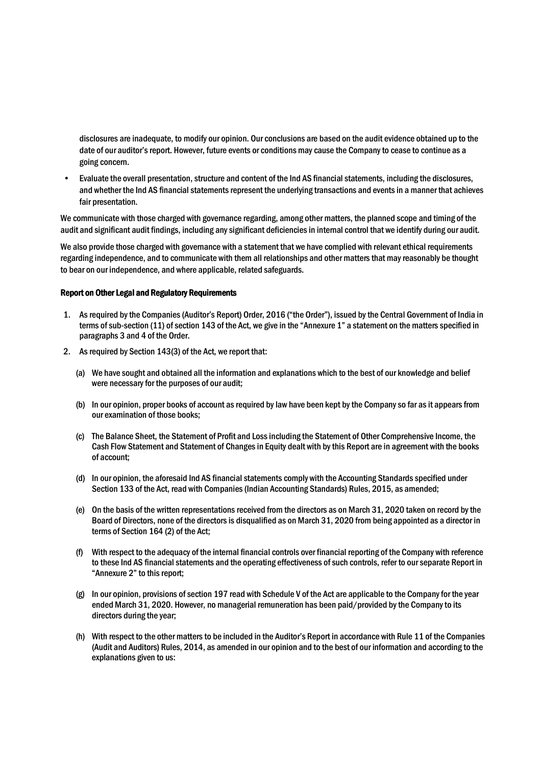disclosures are inadequate, to modify our opinion. Our conclusions are based on the audit evidence obtained up to the date of our auditor's report. However, future events or conditions may cause the Company to cease to continue as a going concern.

• Evaluate the overall presentation, structure and content of the Ind AS financial statements, including the disclosures, and whether the Ind AS financial statements represent the underlying transactions and events in a manner that achieves fair presentation.

We communicate with those charged with governance regarding, among other matters, the planned scope and timing of the audit and significant audit findings, including any significant deficiencies in internal control that we identify during our audit.

We also provide those charged with governance with a statement that we have complied with relevant ethical requirements regarding independence, and to communicate with them all relationships and other matters that may reasonably be thought to bear on our independence, and where applicable, related safeguards.

#### Report on Other Legal and Regulatory Requirements

- 1. As required by the Companies (Auditor's Report) Order, 2016 ("the Order"), issued by the Central Government of India in terms of sub-section (11) of section 143 of the Act, we give in the "Annexure 1" a statement on the matters specified in paragraphs 3 and 4 of the Order.
- 2. As required by Section 143(3) of the Act, we report that:
	- (a) We have sought and obtained all the information and explanations which to the best of our knowledge and belief were necessary for the purposes of our audit;
	- (b) In our opinion, proper books of account as required by law have been kept by the Company so far as it appears from our examination of those books;
	- (c) The Balance Sheet, the Statement of Profit and Loss including the Statement of Other Comprehensive Income, the Cash Flow Statement and Statement of Changes in Equity dealt with by this Report are in agreement with the books of account;
	- (d) In our opinion, the aforesaid Ind AS financial statements comply with the Accounting Standards specified under Section 133 of the Act, read with Companies (Indian Accounting Standards) Rules, 2015, as amended;
	- (e) On the basis of the written representations received from the directors as on March 31, 2020 taken on record by the Board of Directors, none of the directors is disqualified as on March 31, 2020 from being appointed as a director in terms of Section 164 (2) of the Act;
	- (f) With respect to the adequacy of the internal financial controls over financial reporting of the Company with reference to these Ind AS financial statements and the operating effectiveness of such controls, refer to our separate Report in "Annexure 2" to this report;
	- (g) In our opinion, provisions of section 197 read with Schedule V of the Act are applicable to the Company for the year ended March 31, 2020. However, no managerial remuneration has been paid/provided by the Company to its directors during the year;
	- (h) With respect to the other matters to be included in the Auditor's Report in accordance with Rule 11 of the Companies (Audit and Auditors) Rules, 2014, as amended in our opinion and to the best of our information and according to the explanations given to us: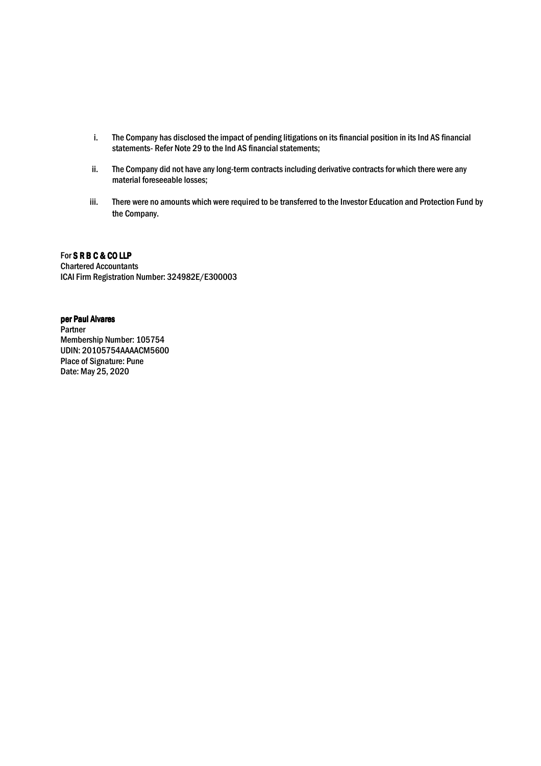- i. The Company has disclosed the impact of pending litigations on its financial position in its Ind AS financial statements- Refer Note 29 to the Ind AS financial statements;
- ii. The Company did not have any long-term contracts including derivative contracts for which there were any material foreseeable losses;
- iii. There were no amounts which were required to be transferred to the Investor Education and Protection Fund by the Company.

For S R B C & CO LLP Chartered Accountants ICAI Firm Registration Number: 324982E/E300003

# per Paul Alvares

Partner Membership Number: 105754 UDIN: 20105754AAAACM5600 Place of Signature: Pune Date: May 25, 2020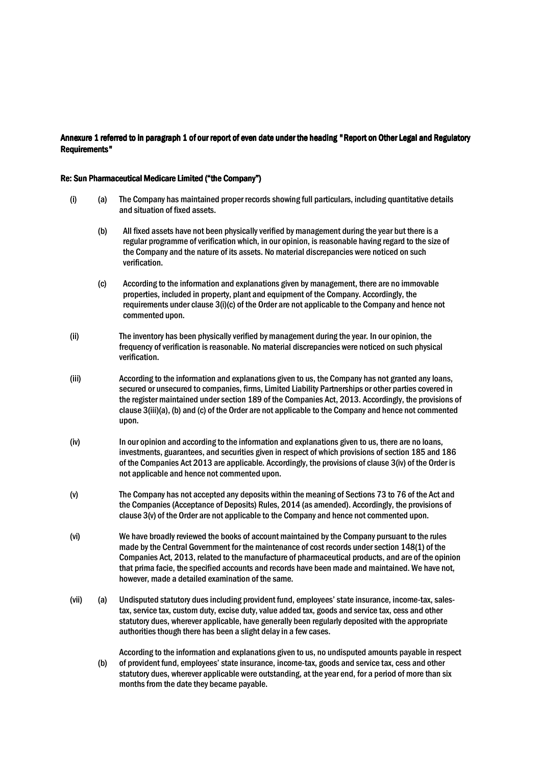# Annexure 1 referred to in paragraph 1 of our report of even date under the heading "Report on Other Legal and Regulatory Requirements"

#### Re: Sun Pharmaceutical Medicare Limited ("the Company")

- (i) (a) The Company has maintained proper records showing full particulars, including quantitative details and situation of fixed assets.
	- (b) All fixed assets have not been physically verified by management during the year but there is a regular programme of verification which, in our opinion, is reasonable having regard to the size of the Company and the nature of its assets. No material discrepancies were noticed on such verification.
	- (c) According to the information and explanations given by management, there are no immovable properties, included in property, plant and equipment of the Company. Accordingly, the requirements under clause 3(i)(c) of the Order are not applicable to the Company and hence not commented upon.
- (ii) The inventory has been physically verified by management during the year. In our opinion, the frequency of verification is reasonable. No material discrepancies were noticed on such physical verification.
- (iii) According to the information and explanations given to us, the Company has not granted any loans, secured or unsecured to companies, firms, Limited Liability Partnerships or other parties covered in the register maintained under section 189 of the Companies Act, 2013. Accordingly, the provisions of clause 3(iii)(a), (b) and (c) of the Order are not applicable to the Company and hence not commented upon.
- (iv) In our opinion and according to the information and explanations given to us, there are no loans, investments, guarantees, and securities given in respect of which provisions of section 185 and 186 of the Companies Act 2013 are applicable. Accordingly, the provisions of clause 3(iv) of the Order is not applicable and hence not commented upon.
- (v) The Company has not accepted any deposits within the meaning of Sections 73 to 76 of the Act and the Companies (Acceptance of Deposits) Rules, 2014 (as amended). Accordingly, the provisions of clause 3(v) of the Order are not applicable to the Company and hence not commented upon.
- (vi) We have broadly reviewed the books of account maintained by the Company pursuant to the rules made by the Central Government for the maintenance of cost records under section 148(1) of the Companies Act, 2013, related to the manufacture of pharmaceutical products, and are of the opinion that prima facie, the specified accounts and records have been made and maintained. We have not, however, made a detailed examination of the same.
- (vii) (a) Undisputed statutory dues including provident fund, employees' state insurance, income-tax, salestax, service tax, custom duty, excise duty, value added tax, goods and service tax, cess and other statutory dues, wherever applicable, have generally been regularly deposited with the appropriate authorities though there has been a slight delay in a few cases.

(b) According to the information and explanations given to us, no undisputed amounts payable in respect of provident fund, employees' state insurance, income-tax, goods and service tax, cess and other statutory dues, wherever applicable were outstanding, at the year end, for a period of more than six months from the date they became payable.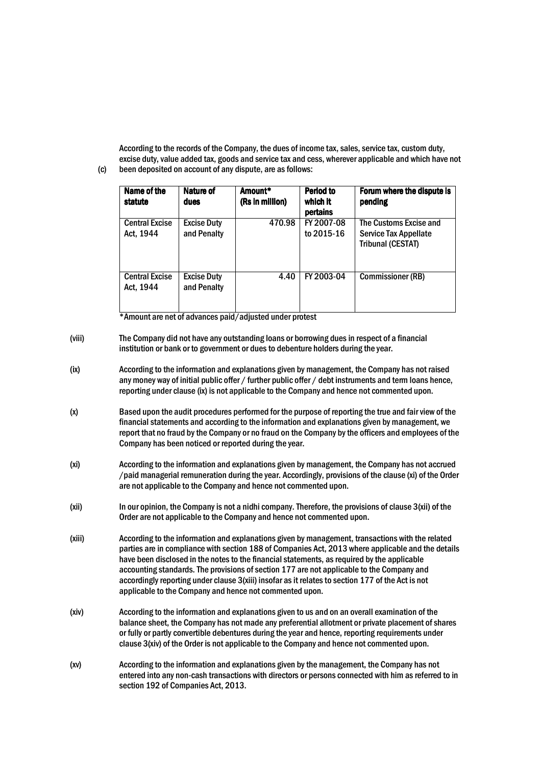According to the records of the Company, the dues of income tax, sales, service tax, custom duty, excise duty, value added tax, goods and service tax and cess, wherever applicable and which have not been deposited on account of any dispute, are as follows:

| Name of the<br>statute             | Nature of<br>dues                 | Amount*<br>(Rs in million) | Period to<br>which it<br>pertains | Forum where the dispute is<br>pending                                |
|------------------------------------|-----------------------------------|----------------------------|-----------------------------------|----------------------------------------------------------------------|
| <b>Central Excise</b><br>Act, 1944 | <b>Excise Duty</b><br>and Penalty | 470.98                     | FY 2007-08<br>to 2015-16          | The Customs Excise and<br>Service Tax Appellate<br>Tribunal (CESTAT) |
| <b>Central Excise</b><br>Act, 1944 | <b>Excise Duty</b><br>and Penalty | 4.40                       | FY 2003-04                        | <b>Commissioner (RB)</b>                                             |

\*Amount are net of advances paid/adjusted under protest

(c)

- (viii) The Company did not have any outstanding loans or borrowing dues in respect of a financial institution or bank or to government or dues to debenture holders during the year.
- (ix) According to the information and explanations given by management, the Company has not raised any money way of initial public offer / further public offer / debt instruments and term loans hence, reporting under clause (ix) is not applicable to the Company and hence not commented upon.
- (x) Based upon the audit procedures performed for the purpose of reporting the true and fair view of the financial statements and according to the information and explanations given by management, we report that no fraud by the Company or no fraud on the Company by the officers and employees of the Company has been noticed or reported during the year.
- (xi) According to the information and explanations given by management, the Company has not accrued /paid managerial remuneration during the year. Accordingly, provisions of the clause (xi) of the Order are not applicable to the Company and hence not commented upon.
- (xii) In our opinion, the Company is not a nidhi company. Therefore, the provisions of clause 3(xii) of the Order are not applicable to the Company and hence not commented upon.
- (xiii) According to the information and explanations given by management, transactions with the related parties are in compliance with section 188 of Companies Act, 2013 where applicable and the details have been disclosed in the notes to the financial statements, as required by the applicable accounting standards. The provisions of section 177 are not applicable to the Company and accordingly reporting under clause 3(xiii) insofar as it relates to section 177 of the Act is not applicable to the Company and hence not commented upon.
- (xiv) According to the information and explanations given to us and on an overall examination of the balance sheet, the Company has not made any preferential allotment or private placement of shares or fully or partly convertible debentures during the year and hence, reporting requirements under clause 3(xiv) of the Order is not applicable to the Company and hence not commented upon.
- (xv) According to the information and explanations given by the management, the Company has not entered into any non-cash transactions with directors or persons connected with him as referred to in section 192 of Companies Act, 2013.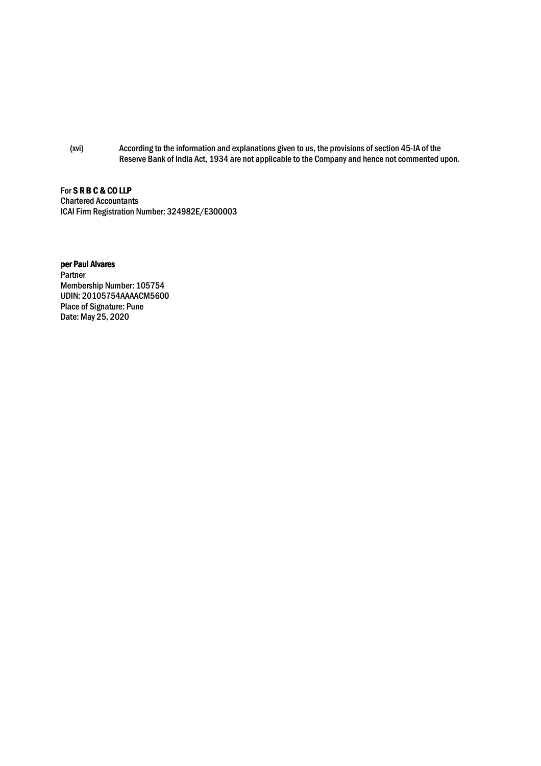(xvi) According to the information and explanations given to us, the provisions of section 45-IA of the Reserve Bank of India Act, 1934 are not applicable to the Company and hence not commented upon.

For S R B C & CO LLP Chartered Accountants

ICAI Firm Registration Number: 324982E/E300003

# per Paul Alvares

**Partner** Membership Number: 105754 UDIN: 20105754AAAACM5600 Place of Signature: Pune Date: May 25, 2020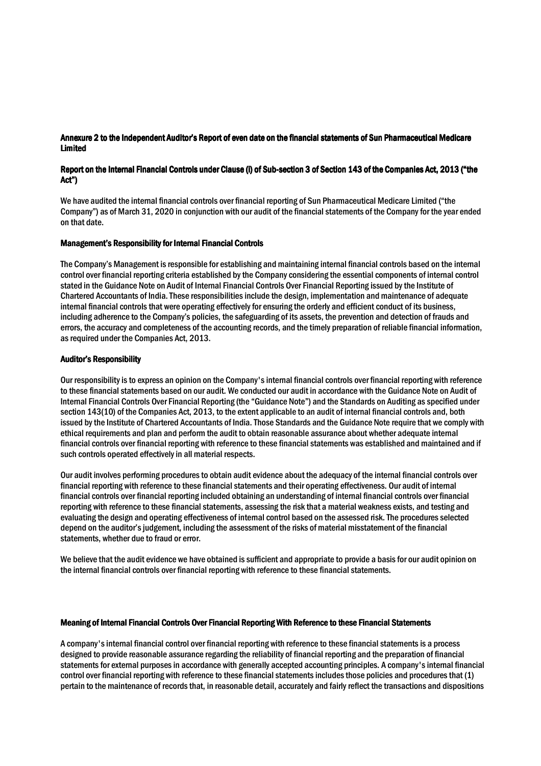# Annexure 2 to the Independent Auditor's Report of even date on the financial statements of Sun Pharmaceutical Medicare **Limited**

# Report on the Internal Financial Controls under Clause (i) of Sub-section 3 of Section 143 of the Companies Act, 2013 ("the Act")

We have audited the internal financial controls over financial reporting of Sun Pharmaceutical Medicare Limited ("the Company") as of March 31, 2020 in conjunction with our audit of the financial statements of the Company for the year ended on that date.

#### Management's Responsibility for Internal Financial Controls

The Company's Management is responsible for establishing and maintaining internal financial controls based on the internal control over financial reporting criteria established by the Company considering the essential components of internal control stated in the Guidance Note on Audit of Internal Financial Controls Over Financial Reporting issued by the Institute of Chartered Accountants of India. These responsibilities include the design, implementation and maintenance of adequate internal financial controls that were operating effectively for ensuring the orderly and efficient conduct of its business, including adherence to the Company's policies, the safeguarding of its assets, the prevention and detection of frauds and errors, the accuracy and completeness of the accounting records, and the timely preparation of reliable financial information, as required under the Companies Act, 2013.

### Auditor's Responsibility

Our responsibility is to express an opinion on the Company's internal financial controls over financial reporting with reference to these financial statements based on our audit. We conducted our audit in accordance with the Guidance Note on Audit of Internal Financial Controls Over Financial Reporting (the "Guidance Note") and the Standards on Auditing as specified under section 143(10) of the Companies Act, 2013, to the extent applicable to an audit of internal financial controls and, both issued by the Institute of Chartered Accountants of India. Those Standards and the Guidance Note require that we comply with ethical requirements and plan and perform the audit to obtain reasonable assurance about whether adequate internal financial controls over financial reporting with reference to these financial statements was established and maintained and if such controls operated effectively in all material respects.

Our audit involves performing procedures to obtain audit evidence about the adequacy of the internal financial controls over financial reporting with reference to these financial statements and their operating effectiveness. Our audit of internal financial controls over financial reporting included obtaining an understanding of internal financial controls over financial reporting with reference to these financial statements, assessing the risk that a material weakness exists, and testing and evaluating the design and operating effectiveness of internal control based on the assessed risk. The procedures selected depend on the auditor's judgement, including the assessment of the risks of material misstatement of the financial statements, whether due to fraud or error.

We believe that the audit evidence we have obtained is sufficient and appropriate to provide a basis for our audit opinion on the internal financial controls over financial reporting with reference to these financial statements.

# Meaning of Internal Financial Controls Over Financial Reporting With Reference to these Financial Statements

A company's internal financial control over financial reporting with reference to these financial statements is a process designed to provide reasonable assurance regarding the reliability of financial reporting and the preparation of financial statements for external purposes in accordance with generally accepted accounting principles. A company's internal financial control over financial reporting with reference to these financial statements includes those policies and procedures that (1) pertain to the maintenance of records that, in reasonable detail, accurately and fairly reflect the transactions and dispositions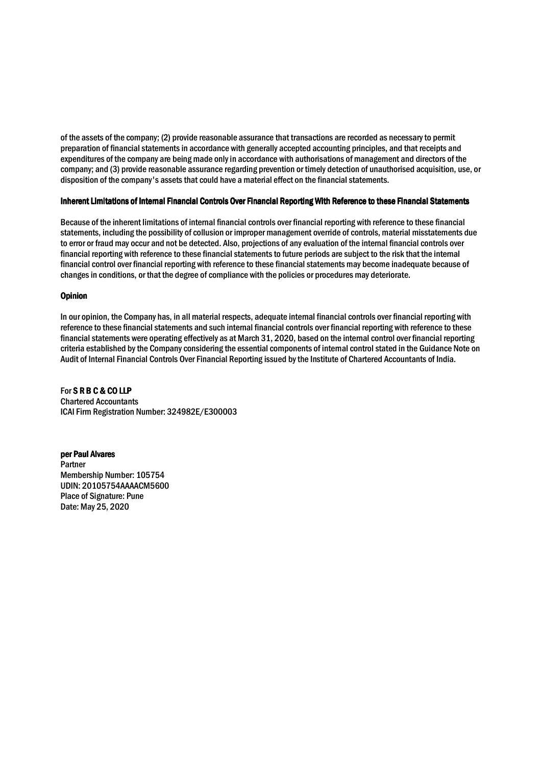of the assets of the company; (2) provide reasonable assurance that transactions are recorded as necessary to permit preparation of financial statements in accordance with generally accepted accounting principles, and that receipts and expenditures of the company are being made only in accordance with authorisations of management and directors of the company; and (3) provide reasonable assurance regarding prevention or timely detection of unauthorised acquisition, use, or disposition of the company's assets that could have a material effect on the financial statements.

### Inherent Limitations of Internal Financial Controls Over Financial Reporting With Reference to these Financial Statements

Because of the inherent limitations of internal financial controls over financial reporting with reference to these financial statements, including the possibility of collusion or improper management override of controls, material misstatements due to error or fraud may occur and not be detected. Also, projections of any evaluation of the internal financial controls over financial reporting with reference to these financial statements to future periods are subject to the risk that the internal financial control over financial reporting with reference to these financial statements may become inadequate because of changes in conditions, or that the degree of compliance with the policies or procedures may deteriorate.

### **Opinion**

In our opinion, the Company has, in all material respects, adequate internal financial controls over financial reporting with reference to these financial statements and such internal financial controls over financial reporting with reference to these financial statements were operating effectively as at March 31, 2020, based on the internal control over financial reporting criteria established by the Company considering the essential components of internal control stated in the Guidance Note on Audit of Internal Financial Controls Over Financial Reporting issued by the Institute of Chartered Accountants of India.

For SRB C & COLLP Chartered Accountants ICAI Firm Registration Number: 324982E/E300003

per Paul Alvares Partner Membership Number: 105754 UDIN: 20105754AAAACM5600 Place of Signature: Pune Date: May 25, 2020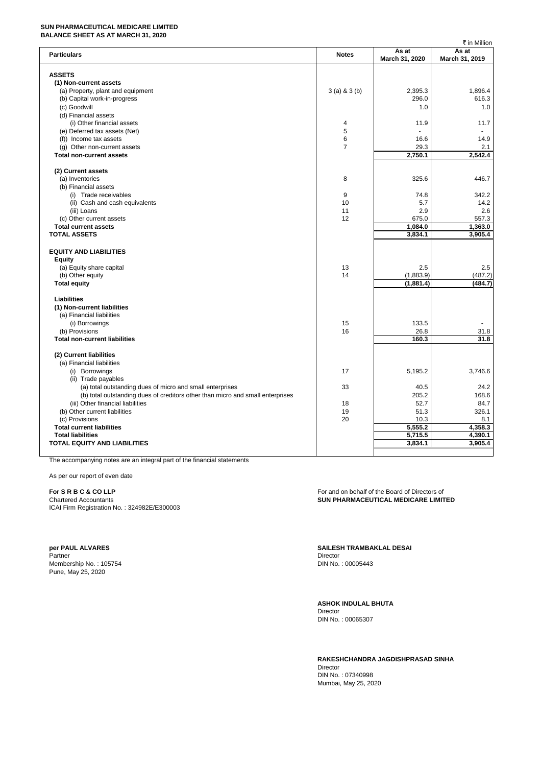#### **SUN PHARMACEUTICAL MEDICARE LIMITED BALANCE SHEET AS AT MARCH 31, 2020**

|                                                                                |                 |                | ₹ in Million   |
|--------------------------------------------------------------------------------|-----------------|----------------|----------------|
| <b>Particulars</b>                                                             | <b>Notes</b>    | As at          | As at          |
|                                                                                |                 | March 31, 2020 | March 31, 2019 |
|                                                                                |                 |                |                |
| <b>ASSETS</b>                                                                  |                 |                |                |
| (1) Non-current assets                                                         |                 |                |                |
| (a) Property, plant and equipment                                              | $3(a)$ & $3(b)$ | 2,395.3        | 1,896.4        |
| (b) Capital work-in-progress                                                   |                 | 296.0          | 616.3          |
| (c) Goodwill                                                                   |                 | 1.0            | 1.0            |
| (d) Financial assets                                                           |                 |                |                |
| (i) Other financial assets                                                     | 4               | 11.9           | 11.7           |
| (e) Deferred tax assets (Net)                                                  | 5               | L,             |                |
| (f)) Income tax assets                                                         | 6               | 16.6           | 14.9           |
| (g) Other non-current assets                                                   | $\overline{7}$  | 29.3           | 2.1            |
| <b>Total non-current assets</b>                                                |                 | 2,750.1        | 2.542.4        |
|                                                                                |                 |                |                |
| (2) Current assets                                                             |                 |                |                |
| (a) Inventories                                                                | 8               | 325.6          | 446.7          |
| (b) Financial assets                                                           |                 |                |                |
| (i) Trade receivables                                                          | 9               | 74.8           | 342.2          |
| (ii) Cash and cash equivalents                                                 | 10              | 5.7            | 14.2           |
| (iii) Loans                                                                    | 11              | 2.9            | 2.6            |
| (c) Other current assets                                                       | 12              | 675.0          | 557.3          |
|                                                                                |                 |                |                |
| <b>Total current assets</b>                                                    |                 | 1,084.0        | 1,363.0        |
| <b>TOTAL ASSETS</b>                                                            |                 | 3,834.1        | 3,905.4        |
|                                                                                |                 |                |                |
| <b>EQUITY AND LIABILITIES</b>                                                  |                 |                |                |
| Equity                                                                         |                 |                |                |
| (a) Equity share capital                                                       | 13              | 2.5            | 2.5            |
| (b) Other equity                                                               | 14              | (1,883.9)      | (487.2)        |
| <b>Total equity</b>                                                            |                 | (1,881.4)      | (484.7)        |
|                                                                                |                 |                |                |
| <b>Liabilities</b>                                                             |                 |                |                |
| (1) Non-current liabilities                                                    |                 |                |                |
| (a) Financial liabilities                                                      |                 |                |                |
| (i) Borrowings                                                                 | 15              | 133.5          |                |
| (b) Provisions                                                                 | 16              | 26.8           | 31.8           |
| <b>Total non-current liabilities</b>                                           |                 | 160.3          | 31.8           |
|                                                                                |                 |                |                |
| (2) Current liabilities                                                        |                 |                |                |
| (a) Financial liabilities                                                      |                 |                |                |
| (i) Borrowings                                                                 | 17              | 5,195.2        | 3,746.6        |
| (ii) Trade payables                                                            |                 |                |                |
| (a) total outstanding dues of micro and small enterprises                      | 33              | 40.5           | 24.2           |
| (b) total outstanding dues of creditors other than micro and small enterprises |                 | 205.2          | 168.6          |
| (iii) Other financial liabilities                                              | 18              | 52.7           | 84.7           |
| (b) Other current liabilities                                                  | 19              | 51.3           | 326.1          |
| (c) Provisions                                                                 | 20              | 10.3           | 8.1            |
| <b>Total current liabilities</b>                                               |                 | 5,555.2        | 4,358.3        |
| <b>Total liabilities</b>                                                       |                 | 5,715.5        | 4,390.1        |
| <b>TOTAL EQUITY AND LIABILITIES</b>                                            |                 | 3,834.1        | 3,905.4        |
|                                                                                |                 |                |                |
|                                                                                |                 |                |                |

The accompanying notes are an integral part of the financial statements

As per our report of even date

ICAI Firm Registration No. : 324982E/E300003

Partner Director Communication and the communication of the communication of the Director Membership No. : 105754 DIN No. : 00005443 Pune, May 25, 2020

**For S R B C & CO LLP For and on behalf of the Board of Directors of For and on behalf of the Board of Directors of** Chartered Accountants **SUN PHARMACEUTICAL MEDICARE LIMITED**

**per PAUL ALVARES SAILESH TRAMBAKLAL DESAI**

**ASHOK INDULAL BHUTA** Director DIN No. : 00065307

**RAKESHCHANDRA JAGDISHPRASAD SINHA** Director DIN No. : 07340998 Mumbai, May 25, 2020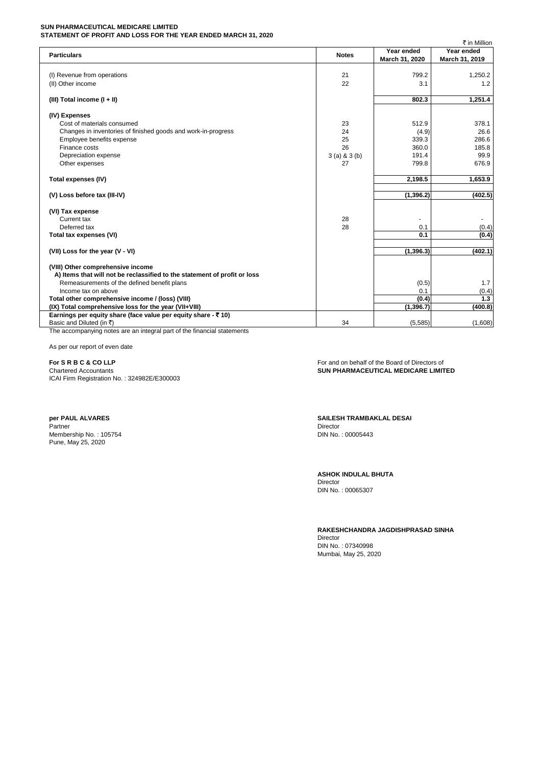#### **SUN PHARMACEUTICAL MEDICARE LIMITED STATEMENT OF PROFIT AND LOSS FOR THE YEAR ENDED MARCH 31, 2020**

|                                                                                                                        |                 |                | ₹ in Million   |
|------------------------------------------------------------------------------------------------------------------------|-----------------|----------------|----------------|
| <b>Particulars</b>                                                                                                     | <b>Notes</b>    | Year ended     | Year ended     |
|                                                                                                                        |                 | March 31, 2020 | March 31, 2019 |
|                                                                                                                        |                 |                |                |
| (I) Revenue from operations                                                                                            | 21              | 799.2          | 1,250.2        |
| (II) Other income                                                                                                      | 22              | 3.1            | 1.2            |
|                                                                                                                        |                 |                |                |
| (III) Total income $(I + II)$                                                                                          |                 | 802.3          | 1,251.4        |
| (IV) Expenses                                                                                                          |                 |                |                |
| Cost of materials consumed                                                                                             | 23              | 512.9          | 378.1          |
| Changes in inventories of finished goods and work-in-progress                                                          | 24              | (4.9)          | 26.6           |
| Employee benefits expense                                                                                              | 25              | 339.3          | 286.6          |
| Finance costs                                                                                                          | 26              | 360.0          | 185.8          |
| Depreciation expense                                                                                                   | $3(a)$ & $3(b)$ | 191.4          | 99.9           |
| Other expenses                                                                                                         | 27              | 799.8          | 676.9          |
|                                                                                                                        |                 |                |                |
| Total expenses (IV)                                                                                                    |                 | 2,198.5        | 1,653.9        |
| (V) Loss before tax (III-IV)                                                                                           |                 | (1, 396.2)     | (402.5)        |
|                                                                                                                        |                 |                |                |
| (VI) Tax expense                                                                                                       |                 |                |                |
| Current tax                                                                                                            | 28              | ۰              | $\sim$         |
| Deferred tax                                                                                                           | 28              | 0.1<br>0.1     | (0.4)          |
| Total tax expenses (VI)                                                                                                |                 |                | (0.4)          |
| (VII) Loss for the year (V - VI)                                                                                       |                 | (1, 396.3)     | (402.1)        |
|                                                                                                                        |                 |                |                |
| (VIII) Other comprehensive income                                                                                      |                 |                |                |
| A) Items that will not be reclassified to the statement of profit or loss                                              |                 |                |                |
| Remeasurements of the defined benefit plans                                                                            |                 | (0.5)          | 1.7            |
| Income tax on above                                                                                                    |                 | 0.1            | (0.4)          |
| Total other comprehensive income / (loss) (VIII)                                                                       |                 | (0.4)          | 1.3            |
| (IX) Total comprehensive loss for the year (VII+VIII)<br>Earnings per equity share (face value per equity share - ₹10) |                 | (1, 396.7)     | (400.8)        |
| Basic and Diluted (in ₹)                                                                                               | 34              | (5,585)        | (1,608)        |
|                                                                                                                        |                 |                |                |

The accompanying notes are an integral part of the financial statements

As per our report of even date

ICAI Firm Registration No. : 324982E/E300003

Partner Director Communication and the communication of the communication of the Director Membership No. : 105754 DIN No. : 00005443 Pune, May 25, 2020

**For S R B C & CO LLP** For and on behalf of the Board of Directors of Chartered Accountants **Constant of the Board of Directors of Chartered Accountants SUN PHARMACEUTICAL MEDICARE LIMITED** 

**per PAUL ALVARES SAILESH TRAMBAKLAL DESAI**

**ASHOK INDULAL BHUTA**

Director DIN No. : 00065307

**RAKESHCHANDRA JAGDISHPRASAD SINHA** Director

DIN No. : 07340998 Mumbai, May 25, 2020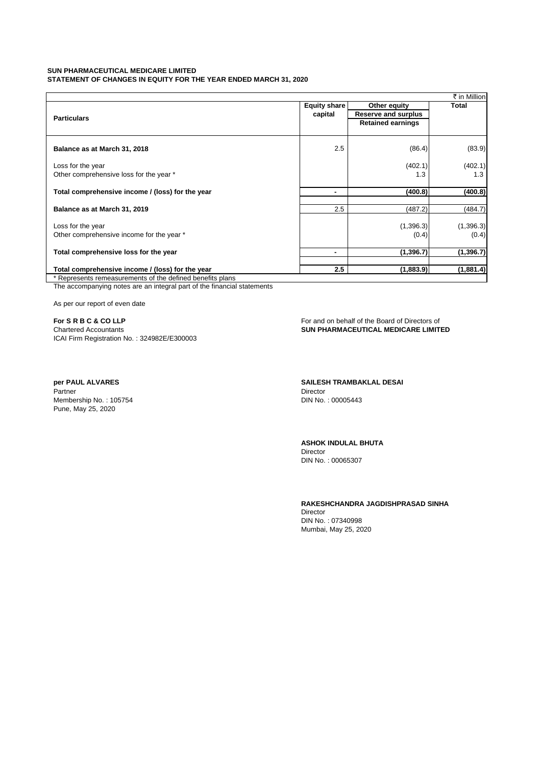#### **SUN PHARMACEUTICAL MEDICARE LIMITED STATEMENT OF CHANGES IN EQUITY FOR THE YEAR ENDED MARCH 31, 2020**

|                                                           |                |                          | ₹ in Million |
|-----------------------------------------------------------|----------------|--------------------------|--------------|
|                                                           | Equity share   | Other equity             | <b>Total</b> |
| <b>Particulars</b>                                        | capital        | Reserve and surplus      |              |
|                                                           |                | <b>Retained earnings</b> |              |
|                                                           |                |                          |              |
|                                                           |                |                          |              |
| Balance as at March 31, 2018                              | 2.5            | (86.4)                   | (83.9)       |
| Loss for the year                                         |                | (402.1)                  | (402.1)      |
| Other comprehensive loss for the year *                   |                | 1.3                      | 1.3          |
|                                                           |                |                          |              |
| Total comprehensive income / (loss) for the year          | $\blacksquare$ | (400.8)                  | (400.8)      |
| Balance as at March 31, 2019                              | 2.5            | (487.2)                  | (484.7)      |
|                                                           |                |                          |              |
| Loss for the year                                         |                | (1,396.3)                | (1, 396.3)   |
| Other comprehensive income for the year *                 |                | (0.4)                    | (0.4)        |
|                                                           |                |                          |              |
| Total comprehensive loss for the year                     | $\blacksquare$ | (1, 396.7)               | (1, 396.7)   |
| Total comprehensive income / (loss) for the year          | 2.5            | (1,883.9)                | (1,881.4)    |
| * Represents remeasurements of the defined benefits plans |                |                          |              |

The accompanying notes are an integral part of the financial statements

As per our report of even date

**For S R B C & CO LLP** For and on behalf of the Board of Directors of Chartered Accountants Chartered Accountants ICAI Firm Registration No. : 324982E/E300003

Partner Director Communication and the Communication of the Communication of the Director Membership No. : 105754 **DIN No. : 00005443** Pune, May 25, 2020

**SUN PHARMACEUTICAL MEDICARE LIMITED** 

**per PAUL ALVARES SAILESH TRAMBAKLAL DESAI**

**ASHOK INDULAL BHUTA** Director DIN No. : 00065307

**RAKESHCHANDRA JAGDISHPRASAD SINHA**

Director DIN No. : 07340998 Mumbai, May 25, 2020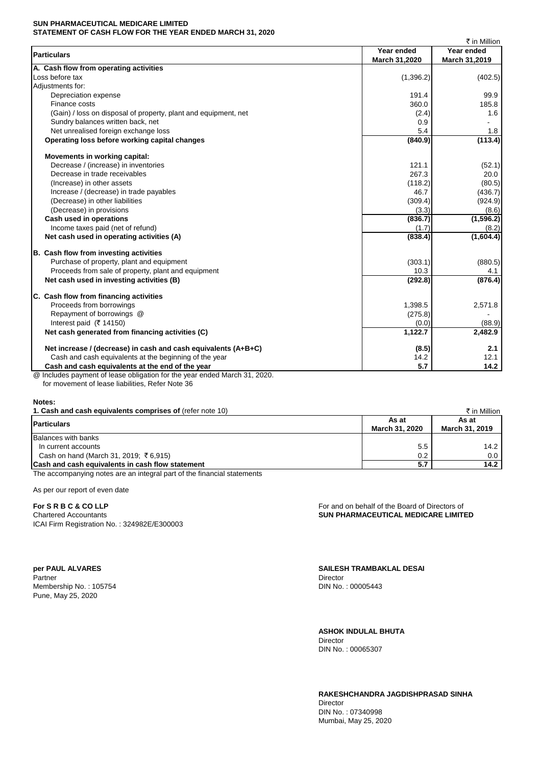#### **SUN PHARMACEUTICAL MEDICARE LIMITED STATEMENT OF CASH FLOW FOR THE YEAR ENDED MARCH 31, 2020**

|                                                                                     |               | ₹ in Million  |
|-------------------------------------------------------------------------------------|---------------|---------------|
| <b>Particulars</b>                                                                  | Year ended    | Year ended    |
|                                                                                     | March 31,2020 | March 31,2019 |
| A. Cash flow from operating activities                                              |               |               |
| Loss before tax                                                                     | (1,396.2)     | (402.5)       |
| Adiustments for:                                                                    |               |               |
| Depreciation expense                                                                | 191.4         | 99.9          |
| Finance costs                                                                       | 360.0         | 185.8         |
| (Gain) / loss on disposal of property, plant and equipment, net                     | (2.4)         | 1.6           |
| Sundry balances written back, net                                                   | 0.9           |               |
| Net unrealised foreign exchange loss                                                | 5.4           | 1.8           |
| Operating loss before working capital changes                                       | (840.9)       | (113.4)       |
| Movements in working capital:                                                       |               |               |
| Decrease / (increase) in inventories                                                | 121.1         | (52.1)        |
| Decrease in trade receivables                                                       | 267.3         | 20.0          |
| (Increase) in other assets                                                          | (118.2)       | (80.5)        |
| Increase / (decrease) in trade payables                                             | 46.7          | (436.7)       |
| (Decrease) in other liabilities                                                     | (309.4)       | (924.9)       |
| (Decrease) in provisions                                                            | (3.3)         | (8.6)         |
| Cash used in operations                                                             | (836.7)       | (1, 596.2)    |
| Income taxes paid (net of refund)                                                   | (1.7)         | (8.2)         |
| Net cash used in operating activities (A)                                           | (838.4)       | (1,604.4)     |
| B. Cash flow from investing activities                                              |               |               |
| Purchase of property, plant and equipment                                           | (303.1)       | (880.5)       |
| Proceeds from sale of property, plant and equipment                                 | 10.3          | 4.1           |
| Net cash used in investing activities (B)                                           | (292.8)       | (876.4)       |
| C. Cash flow from financing activities                                              |               |               |
| Proceeds from borrowings                                                            | 1,398.5       | 2,571.8       |
| Repayment of borrowings @                                                           | (275.8)       |               |
| Interest paid ( $\overline{\xi}$ 14150)                                             | (0.0)         | (88.9)        |
| Net cash generated from financing activities (C)                                    | 1,122.7       | 2,482.9       |
| Net increase / (decrease) in cash and cash equivalents (A+B+C)                      | (8.5)         | 2.1           |
| Cash and cash equivalents at the beginning of the year                              | 14.2          | 12.1          |
| Cash and cash equivalents at the end of the year                                    | 5.7           | 14.2          |
| Includes payment of lease obligation for the year ended March 31, 2020.<br>$\omega$ |               |               |

for movement of lease liabilities, Refer Note 36

**Notes:**

|                         | ₹ in Million            |
|-------------------------|-------------------------|
| As at<br>March 31, 2020 | As at<br>March 31, 2019 |
|                         |                         |
| 5.5                     | 14.2                    |
| 0.2                     | 0.0                     |
| 5.7                     | 14.2                    |
|                         |                         |

The accompanying notes are an integral part of the financial statements

As per our report of even date

ICAI Firm Registration No. : 324982E/E300003

Partner Director Communication and the Communication of the Communication of the Director Membership No. : 105754 **DIN No. : 00005443** Pune, May 25, 2020

**For S R B C & CO LLP For and on behalf of the Board of Directors of** Chartered Accountants **SUN PHARMACEUTICAL MEDICARE LIMITED**

**per PAUL ALVARES SAILESH TRAMBAKLAL DESAI**

**ASHOK INDULAL BHUTA**

Director DIN No. : 00065307

**RAKESHCHANDRA JAGDISHPRASAD SINHA**

Director DIN No. : 07340998 Mumbai, May 25, 2020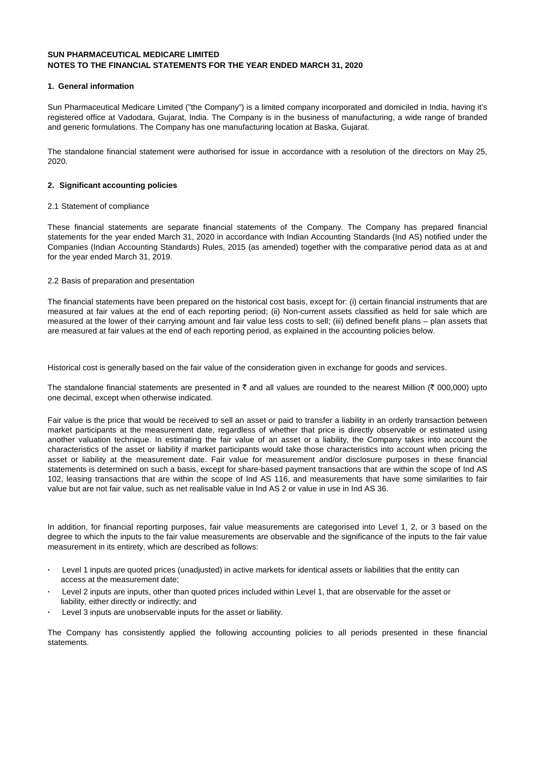### **1. General information**

Sun Pharmaceutical Medicare Limited ("the Company") is a limited company incorporated and domiciled in India, having it's registered office at Vadodara, Gujarat, India. The Company is in the business of manufacturing, a wide range of branded and generic formulations. The Company has one manufacturing location at Baska, Gujarat.

The standalone financial statement were authorised for issue in accordance with a resolution of the directors on May 25, 2020.

### **2. Significant accounting policies**

#### 2.1 Statement of compliance

These financial statements are separate financial statements of the Company. The Company has prepared financial statements for the year ended March 31, 2020 in accordance with Indian Accounting Standards (Ind AS) notified under the Companies (Indian Accounting Standards) Rules, 2015 (as amended) together with the comparative period data as at and for the year ended March 31, 2019.

### 2.2 Basis of preparation and presentation

The financial statements have been prepared on the historical cost basis, except for: (i) certain financial instruments that are measured at fair values at the end of each reporting period; (ii) Non-current assets classified as held for sale which are measured at the lower of their carrying amount and fair value less costs to sell; (iii) defined benefit plans – plan assets that are measured at fair values at the end of each reporting period, as explained in the accounting policies below.

Historical cost is generally based on the fair value of the consideration given in exchange for goods and services.

The standalone financial statements are presented in  $\bar{\tau}$  and all values are rounded to the nearest Million ( $\bar{\tau}$  000,000) upto one decimal, except when otherwise indicated.

Fair value is the price that would be received to sell an asset or paid to transfer a liability in an orderly transaction between market participants at the measurement date, regardless of whether that price is directly observable or estimated using another valuation technique. In estimating the fair value of an asset or a liability, the Company takes into account the characteristics of the asset or liability if market participants would take those characteristics into account when pricing the asset or liability at the measurement date. Fair value for measurement and/or disclosure purposes in these financial statements is determined on such a basis, except for share-based payment transactions that are within the scope of Ind AS 102, leasing transactions that are within the scope of Ind AS 116, and measurements that have some similarities to fair value but are not fair value, such as net realisable value in Ind AS 2 or value in use in Ind AS 36.

In addition, for financial reporting purposes, fair value measurements are categorised into Level 1, 2, or 3 based on the degree to which the inputs to the fair value measurements are observable and the significance of the inputs to the fair value measurement in its entirety, which are described as follows:

- **·** Level 1 inputs are quoted prices (unadjusted) in active markets for identical assets or liabilities that the entity can access at the measurement date;
- **·** Level 2 inputs are inputs, other than quoted prices included within Level 1, that are observable for the asset or liability, either directly or indirectly; and
- Level 3 inputs are unobservable inputs for the asset or liability.

The Company has consistently applied the following accounting policies to all periods presented in these financial statements.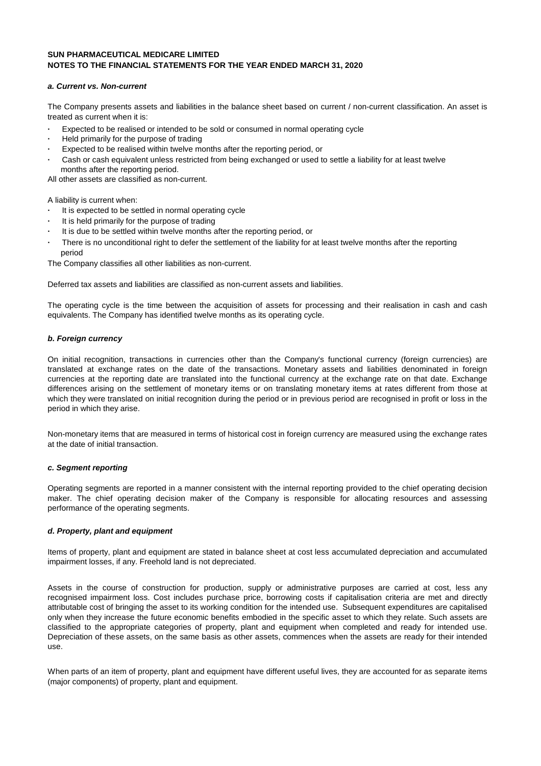#### **a. Current vs. Non-current**

The Company presents assets and liabilities in the balance sheet based on current / non-current classification. An asset is treated as current when it is:

- Expected to be realised or intended to be sold or consumed in normal operating cycle
- **·** Held primarily for the purpose of trading
- **·** Expected to be realised within twelve months after the reporting period, or
- **·** Cash or cash equivalent unless restricted from being exchanged or used to settle a liability for at least twelve months after the reporting period.

All other assets are classified as non-current.

A liability is current when:

- **·** It is expected to be settled in normal operating cycle
- **·** It is held primarily for the purpose of trading
- **·** It is due to be settled within twelve months after the reporting period, or
- **·** There is no unconditional right to defer the settlement of the liability for at least twelve months after the reporting period

The Company classifies all other liabilities as non-current.

Deferred tax assets and liabilities are classified as non-current assets and liabilities.

The operating cycle is the time between the acquisition of assets for processing and their realisation in cash and cash equivalents. The Company has identified twelve months as its operating cycle.

### **b. Foreign currency**

On initial recognition, transactions in currencies other than the Company's functional currency (foreign currencies) are translated at exchange rates on the date of the transactions. Monetary assets and liabilities denominated in foreign currencies at the reporting date are translated into the functional currency at the exchange rate on that date. Exchange differences arising on the settlement of monetary items or on translating monetary items at rates different from those at which they were translated on initial recognition during the period or in previous period are recognised in profit or loss in the period in which they arise.

Non-monetary items that are measured in terms of historical cost in foreign currency are measured using the exchange rates at the date of initial transaction.

#### **c. Segment reporting**

Operating segments are reported in a manner consistent with the internal reporting provided to the chief operating decision maker. The chief operating decision maker of the Company is responsible for allocating resources and assessing performance of the operating segments.

### **d. Property, plant and equipment**

Items of property, plant and equipment are stated in balance sheet at cost less accumulated depreciation and accumulated impairment losses, if any. Freehold land is not depreciated.

Assets in the course of construction for production, supply or administrative purposes are carried at cost, less any recognised impairment loss. Cost includes purchase price, borrowing costs if capitalisation criteria are met and directly attributable cost of bringing the asset to its working condition for the intended use. Subsequent expenditures are capitalised only when they increase the future economic benefits embodied in the specific asset to which they relate. Such assets are classified to the appropriate categories of property, plant and equipment when completed and ready for intended use. Depreciation of these assets, on the same basis as other assets, commences when the assets are ready for their intended use.

When parts of an item of property, plant and equipment have different useful lives, they are accounted for as separate items (major components) of property, plant and equipment.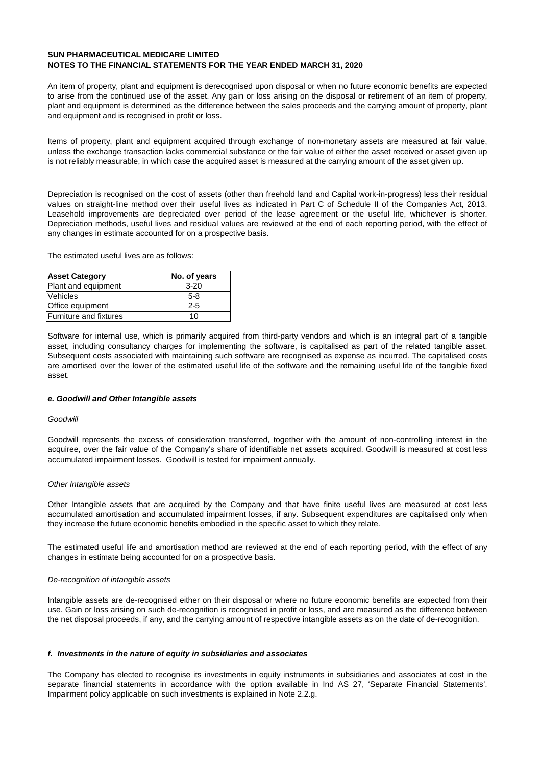An item of property, plant and equipment is derecognised upon disposal or when no future economic benefits are expected to arise from the continued use of the asset. Any gain or loss arising on the disposal or retirement of an item of property, plant and equipment is determined as the difference between the sales proceeds and the carrying amount of property, plant and equipment and is recognised in profit or loss.

Items of property, plant and equipment acquired through exchange of non-monetary assets are measured at fair value, unless the exchange transaction lacks commercial substance or the fair value of either the asset received or asset given up is not reliably measurable, in which case the acquired asset is measured at the carrying amount of the asset given up.

Depreciation is recognised on the cost of assets (other than freehold land and Capital work-in-progress) less their residual values on straight-line method over their useful lives as indicated in Part C of Schedule II of the Companies Act, 2013. Leasehold improvements are depreciated over period of the lease agreement or the useful life, whichever is shorter. Depreciation methods, useful lives and residual values are reviewed at the end of each reporting period, with the effect of any changes in estimate accounted for on a prospective basis.

The estimated useful lives are as follows:

| <b>Asset Category</b>  | No. of years |
|------------------------|--------------|
| Plant and equipment    | $3 - 20$     |
| <b>Vehicles</b>        | $5-8$        |
| Office equipment       | 2-5          |
| Furniture and fixtures | 10           |

Software for internal use, which is primarily acquired from third-party vendors and which is an integral part of a tangible asset, including consultancy charges for implementing the software, is capitalised as part of the related tangible asset. Subsequent costs associated with maintaining such software are recognised as expense as incurred. The capitalised costs are amortised over the lower of the estimated useful life of the software and the remaining useful life of the tangible fixed asset.

#### **e. Goodwill and Other Intangible assets**

#### **Goodwill**

Goodwill represents the excess of consideration transferred, together with the amount of non-controlling interest in the acquiree, over the fair value of the Company's share of identifiable net assets acquired. Goodwill is measured at cost less accumulated impairment losses. Goodwill is tested for impairment annually.

#### Other Intangible assets

Other Intangible assets that are acquired by the Company and that have finite useful lives are measured at cost less accumulated amortisation and accumulated impairment losses, if any. Subsequent expenditures are capitalised only when they increase the future economic benefits embodied in the specific asset to which they relate.

The estimated useful life and amortisation method are reviewed at the end of each reporting period, with the effect of any changes in estimate being accounted for on a prospective basis.

## De-recognition of intangible assets

Intangible assets are de-recognised either on their disposal or where no future economic benefits are expected from their use. Gain or loss arising on such de-recognition is recognised in profit or loss, and are measured as the difference between the net disposal proceeds, if any, and the carrying amount of respective intangible assets as on the date of de-recognition.

#### **f. Investments in the nature of equity in subsidiaries and associates**

The Company has elected to recognise its investments in equity instruments in subsidiaries and associates at cost in the separate financial statements in accordance with the option available in Ind AS 27, 'Separate Financial Statements'. Impairment policy applicable on such investments is explained in Note 2.2.g.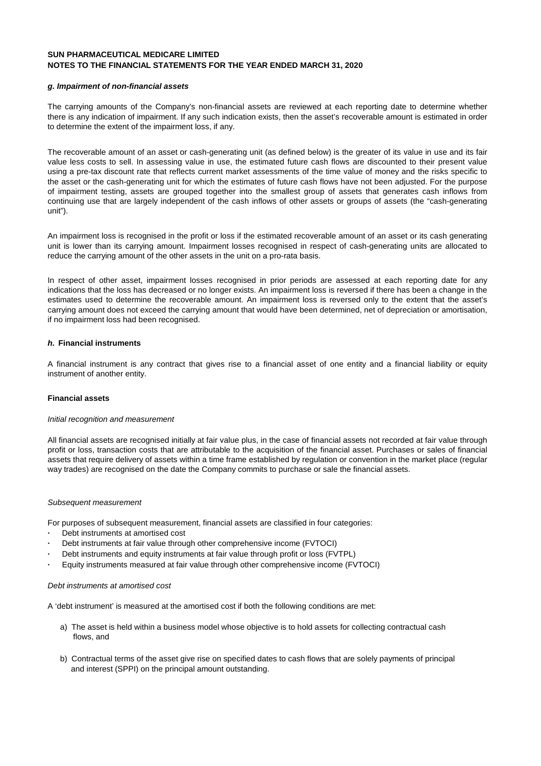#### **g. Impairment of non-financial assets**

The carrying amounts of the Company's non-financial assets are reviewed at each reporting date to determine whether there is any indication of impairment. If any such indication exists, then the asset's recoverable amount is estimated in order to determine the extent of the impairment loss, if any.

The recoverable amount of an asset or cash-generating unit (as defined below) is the greater of its value in use and its fair value less costs to sell. In assessing value in use, the estimated future cash flows are discounted to their present value using a pre-tax discount rate that reflects current market assessments of the time value of money and the risks specific to the asset or the cash-generating unit for which the estimates of future cash flows have not been adjusted. For the purpose of impairment testing, assets are grouped together into the smallest group of assets that generates cash inflows from continuing use that are largely independent of the cash inflows of other assets or groups of assets (the "cash-generating unit").

An impairment loss is recognised in the profit or loss if the estimated recoverable amount of an asset or its cash generating unit is lower than its carrying amount. Impairment losses recognised in respect of cash-generating units are allocated to reduce the carrying amount of the other assets in the unit on a pro-rata basis.

In respect of other asset, impairment losses recognised in prior periods are assessed at each reporting date for any indications that the loss has decreased or no longer exists. An impairment loss is reversed if there has been a change in the estimates used to determine the recoverable amount. An impairment loss is reversed only to the extent that the asset's carrying amount does not exceed the carrying amount that would have been determined, net of depreciation or amortisation, if no impairment loss had been recognised.

## **h. Financial instruments**

A financial instrument is any contract that gives rise to a financial asset of one entity and a financial liability or equity instrument of another entity.

#### **Financial assets**

#### Initial recognition and measurement

All financial assets are recognised initially at fair value plus, in the case of financial assets not recorded at fair value through profit or loss, transaction costs that are attributable to the acquisition of the financial asset. Purchases or sales of financial assets that require delivery of assets within a time frame established by regulation or convention in the market place (regular way trades) are recognised on the date the Company commits to purchase or sale the financial assets.

#### Subsequent measurement

For purposes of subsequent measurement, financial assets are classified in four categories:

- **·** Debt instruments at amortised cost
- **·** Debt instruments at fair value through other comprehensive income (FVTOCI)
- **·** Debt instruments and equity instruments at fair value through profit or loss (FVTPL)
- **·** Equity instruments measured at fair value through other comprehensive income (FVTOCI)

#### Debt instruments at amortised cost

A 'debt instrument' is measured at the amortised cost if both the following conditions are met:

- a) The asset is held within a business model whose objective is to hold assets for collecting contractual cash flows, and
- b) Contractual terms of the asset give rise on specified dates to cash flows that are solely payments of principal and interest (SPPI) on the principal amount outstanding.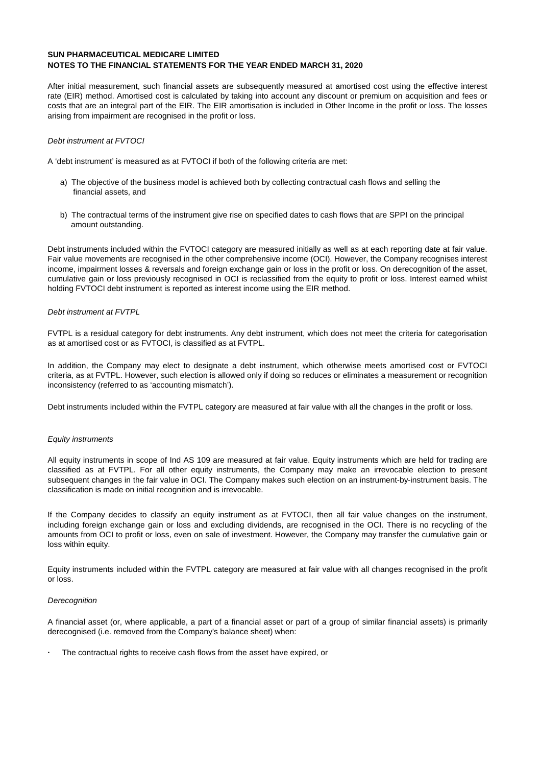After initial measurement, such financial assets are subsequently measured at amortised cost using the effective interest rate (EIR) method. Amortised cost is calculated by taking into account any discount or premium on acquisition and fees or costs that are an integral part of the EIR. The EIR amortisation is included in Other Income in the profit or loss. The losses arising from impairment are recognised in the profit or loss.

#### Debt instrument at FVTOCI

A 'debt instrument' is measured as at FVTOCI if both of the following criteria are met:

- a) The objective of the business model is achieved both by collecting contractual cash flows and selling the financial assets, and
- b) The contractual terms of the instrument give rise on specified dates to cash flows that are SPPI on the principal amount outstanding.

Debt instruments included within the FVTOCI category are measured initially as well as at each reporting date at fair value. Fair value movements are recognised in the other comprehensive income (OCI). However, the Company recognises interest income, impairment losses & reversals and foreign exchange gain or loss in the profit or loss. On derecognition of the asset, cumulative gain or loss previously recognised in OCI is reclassified from the equity to profit or loss. Interest earned whilst holding FVTOCI debt instrument is reported as interest income using the EIR method.

#### Debt instrument at FVTPL

FVTPL is a residual category for debt instruments. Any debt instrument, which does not meet the criteria for categorisation as at amortised cost or as FVTOCI, is classified as at FVTPL.

In addition, the Company may elect to designate a debt instrument, which otherwise meets amortised cost or FVTOCI criteria, as at FVTPL. However, such election is allowed only if doing so reduces or eliminates a measurement or recognition inconsistency (referred to as 'accounting mismatch').

Debt instruments included within the FVTPL category are measured at fair value with all the changes in the profit or loss.

#### Equity instruments

All equity instruments in scope of Ind AS 109 are measured at fair value. Equity instruments which are held for trading are classified as at FVTPL. For all other equity instruments, the Company may make an irrevocable election to present subsequent changes in the fair value in OCI. The Company makes such election on an instrument-by-instrument basis. The classification is made on initial recognition and is irrevocable.

If the Company decides to classify an equity instrument as at FVTOCI, then all fair value changes on the instrument, including foreign exchange gain or loss and excluding dividends, are recognised in the OCI. There is no recycling of the amounts from OCI to profit or loss, even on sale of investment. However, the Company may transfer the cumulative gain or loss within equity.

Equity instruments included within the FVTPL category are measured at fair value with all changes recognised in the profit or loss.

#### **Derecognition**

A financial asset (or, where applicable, a part of a financial asset or part of a group of similar financial assets) is primarily derecognised (i.e. removed from the Company's balance sheet) when:

**·** The contractual rights to receive cash flows from the asset have expired, or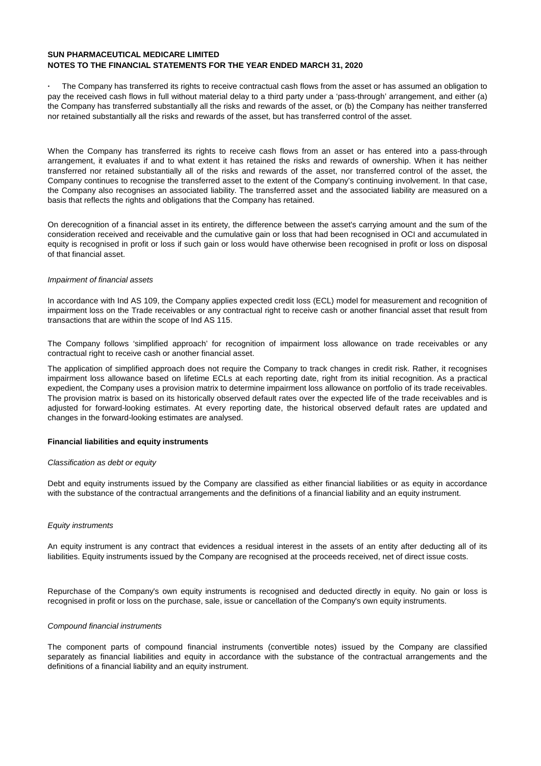**·** The Company has transferred its rights to receive contractual cash flows from the asset or has assumed an obligation to pay the received cash flows in full without material delay to a third party under a 'pass-through' arrangement, and either (a) the Company has transferred substantially all the risks and rewards of the asset, or (b) the Company has neither transferred nor retained substantially all the risks and rewards of the asset, but has transferred control of the asset.

When the Company has transferred its rights to receive cash flows from an asset or has entered into a pass-through arrangement, it evaluates if and to what extent it has retained the risks and rewards of ownership. When it has neither transferred nor retained substantially all of the risks and rewards of the asset, nor transferred control of the asset, the Company continues to recognise the transferred asset to the extent of the Company's continuing involvement. In that case, the Company also recognises an associated liability. The transferred asset and the associated liability are measured on a basis that reflects the rights and obligations that the Company has retained.

On derecognition of a financial asset in its entirety, the difference between the asset's carrying amount and the sum of the consideration received and receivable and the cumulative gain or loss that had been recognised in OCI and accumulated in equity is recognised in profit or loss if such gain or loss would have otherwise been recognised in profit or loss on disposal of that financial asset.

#### Impairment of financial assets

In accordance with Ind AS 109, the Company applies expected credit loss (ECL) model for measurement and recognition of impairment loss on the Trade receivables or any contractual right to receive cash or another financial asset that result from transactions that are within the scope of Ind AS 115.

The Company follows 'simplified approach' for recognition of impairment loss allowance on trade receivables or any contractual right to receive cash or another financial asset.

The application of simplified approach does not require the Company to track changes in credit risk. Rather, it recognises impairment loss allowance based on lifetime ECLs at each reporting date, right from its initial recognition. As a practical expedient, the Company uses a provision matrix to determine impairment loss allowance on portfolio of its trade receivables. The provision matrix is based on its historically observed default rates over the expected life of the trade receivables and is adjusted for forward-looking estimates. At every reporting date, the historical observed default rates are updated and changes in the forward-looking estimates are analysed.

### **Financial liabilities and equity instruments**

#### Classification as debt or equity

Debt and equity instruments issued by the Company are classified as either financial liabilities or as equity in accordance with the substance of the contractual arrangements and the definitions of a financial liability and an equity instrument.

#### Equity instruments

An equity instrument is any contract that evidences a residual interest in the assets of an entity after deducting all of its liabilities. Equity instruments issued by the Company are recognised at the proceeds received, net of direct issue costs.

Repurchase of the Company's own equity instruments is recognised and deducted directly in equity. No gain or loss is recognised in profit or loss on the purchase, sale, issue or cancellation of the Company's own equity instruments.

#### Compound financial instruments

The component parts of compound financial instruments (convertible notes) issued by the Company are classified separately as financial liabilities and equity in accordance with the substance of the contractual arrangements and the definitions of a financial liability and an equity instrument.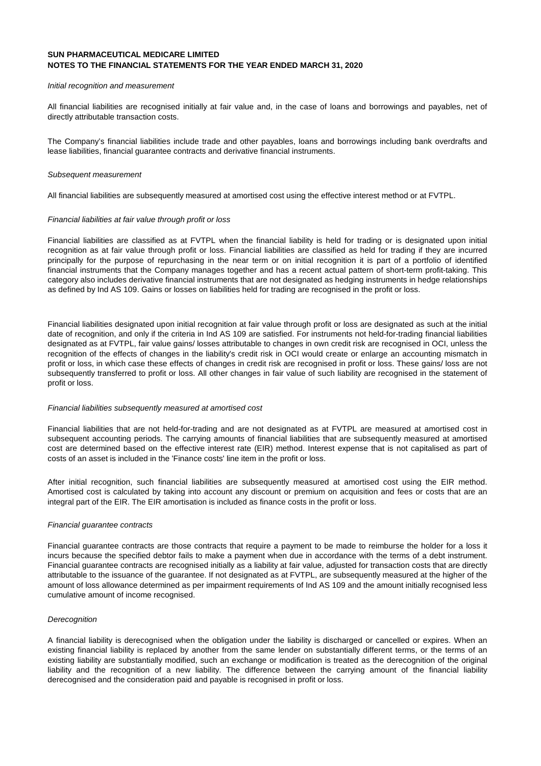#### Initial recognition and measurement

All financial liabilities are recognised initially at fair value and, in the case of loans and borrowings and payables, net of directly attributable transaction costs.

The Company's financial liabilities include trade and other payables, loans and borrowings including bank overdrafts and lease liabilities, financial guarantee contracts and derivative financial instruments.

#### Subsequent measurement

All financial liabilities are subsequently measured at amortised cost using the effective interest method or at FVTPL.

#### Financial liabilities at fair value through profit or loss

Financial liabilities are classified as at FVTPL when the financial liability is held for trading or is designated upon initial recognition as at fair value through profit or loss. Financial liabilities are classified as held for trading if they are incurred principally for the purpose of repurchasing in the near term or on initial recognition it is part of a portfolio of identified financial instruments that the Company manages together and has a recent actual pattern of short-term profit-taking. This category also includes derivative financial instruments that are not designated as hedging instruments in hedge relationships as defined by Ind AS 109. Gains or losses on liabilities held for trading are recognised in the profit or loss.

Financial liabilities designated upon initial recognition at fair value through profit or loss are designated as such at the initial date of recognition, and only if the criteria in Ind AS 109 are satisfied. For instruments not held-for-trading financial liabilities designated as at FVTPL, fair value gains/ losses attributable to changes in own credit risk are recognised in OCI, unless the recognition of the effects of changes in the liability's credit risk in OCI would create or enlarge an accounting mismatch in profit or loss, in which case these effects of changes in credit risk are recognised in profit or loss. These gains/ loss are not subsequently transferred to profit or loss. All other changes in fair value of such liability are recognised in the statement of profit or loss.

#### Financial liabilities subsequently measured at amortised cost

Financial liabilities that are not held-for-trading and are not designated as at FVTPL are measured at amortised cost in subsequent accounting periods. The carrying amounts of financial liabilities that are subsequently measured at amortised cost are determined based on the effective interest rate (EIR) method. Interest expense that is not capitalised as part of costs of an asset is included in the 'Finance costs' line item in the profit or loss.

After initial recognition, such financial liabilities are subsequently measured at amortised cost using the EIR method. Amortised cost is calculated by taking into account any discount or premium on acquisition and fees or costs that are an integral part of the EIR. The EIR amortisation is included as finance costs in the profit or loss.

#### Financial guarantee contracts

Financial guarantee contracts are those contracts that require a payment to be made to reimburse the holder for a loss it incurs because the specified debtor fails to make a payment when due in accordance with the terms of a debt instrument. Financial guarantee contracts are recognised initially as a liability at fair value, adjusted for transaction costs that are directly attributable to the issuance of the guarantee. If not designated as at FVTPL, are subsequently measured at the higher of the amount of loss allowance determined as per impairment requirements of Ind AS 109 and the amount initially recognised less cumulative amount of income recognised.

#### **Derecognition**

A financial liability is derecognised when the obligation under the liability is discharged or cancelled or expires. When an existing financial liability is replaced by another from the same lender on substantially different terms, or the terms of an existing liability are substantially modified, such an exchange or modification is treated as the derecognition of the original liability and the recognition of a new liability. The difference between the carrying amount of the financial liability derecognised and the consideration paid and payable is recognised in profit or loss.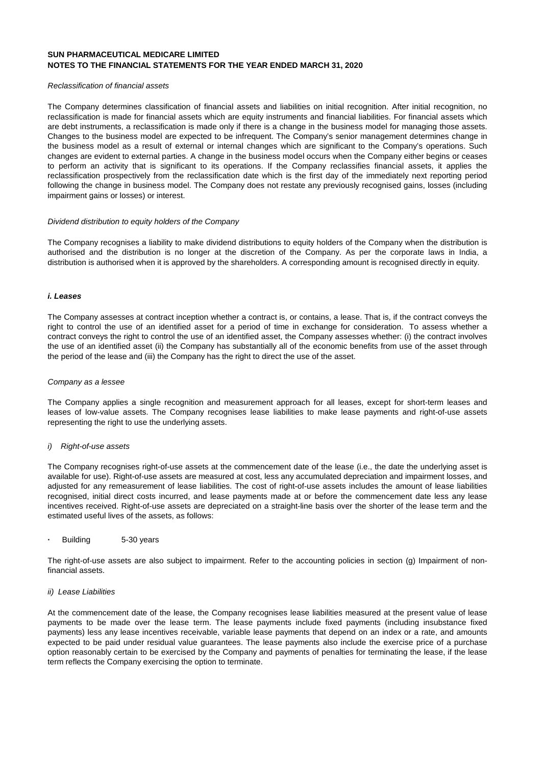#### Reclassification of financial assets

The Company determines classification of financial assets and liabilities on initial recognition. After initial recognition, no reclassification is made for financial assets which are equity instruments and financial liabilities. For financial assets which are debt instruments, a reclassification is made only if there is a change in the business model for managing those assets. Changes to the business model are expected to be infrequent. The Company's senior management determines change in the business model as a result of external or internal changes which are significant to the Company's operations. Such changes are evident to external parties. A change in the business model occurs when the Company either begins or ceases to perform an activity that is significant to its operations. If the Company reclassifies financial assets, it applies the reclassification prospectively from the reclassification date which is the first day of the immediately next reporting period following the change in business model. The Company does not restate any previously recognised gains, losses (including impairment gains or losses) or interest.

#### Dividend distribution to equity holders of the Company

The Company recognises a liability to make dividend distributions to equity holders of the Company when the distribution is authorised and the distribution is no longer at the discretion of the Company. As per the corporate laws in India, a distribution is authorised when it is approved by the shareholders. A corresponding amount is recognised directly in equity.

#### **i. Leases**

The Company assesses at contract inception whether a contract is, or contains, a lease. That is, if the contract conveys the right to control the use of an identified asset for a period of time in exchange for consideration. To assess whether a contract conveys the right to control the use of an identified asset, the Company assesses whether: (i) the contract involves the use of an identified asset (ii) the Company has substantially all of the economic benefits from use of the asset through the period of the lease and (iii) the Company has the right to direct the use of the asset.

#### Company as a lessee

The Company applies a single recognition and measurement approach for all leases, except for short-term leases and leases of low-value assets. The Company recognises lease liabilities to make lease payments and right-of-use assets representing the right to use the underlying assets.

#### i) Right-of-use assets

The Company recognises right-of-use assets at the commencement date of the lease (i.e., the date the underlying asset is available for use). Right-of-use assets are measured at cost, less any accumulated depreciation and impairment losses, and adjusted for any remeasurement of lease liabilities. The cost of right-of-use assets includes the amount of lease liabilities recognised, initial direct costs incurred, and lease payments made at or before the commencement date less any lease incentives received. Right-of-use assets are depreciated on a straight-line basis over the shorter of the lease term and the estimated useful lives of the assets, as follows:

**·** Building 5-30 years

The right-of-use assets are also subject to impairment. Refer to the accounting policies in section (g) Impairment of nonfinancial assets.

#### ii) Lease Liabilities

At the commencement date of the lease, the Company recognises lease liabilities measured at the present value of lease payments to be made over the lease term. The lease payments include fixed payments (including insubstance fixed payments) less any lease incentives receivable, variable lease payments that depend on an index or a rate, and amounts expected to be paid under residual value guarantees. The lease payments also include the exercise price of a purchase option reasonably certain to be exercised by the Company and payments of penalties for terminating the lease, if the lease term reflects the Company exercising the option to terminate.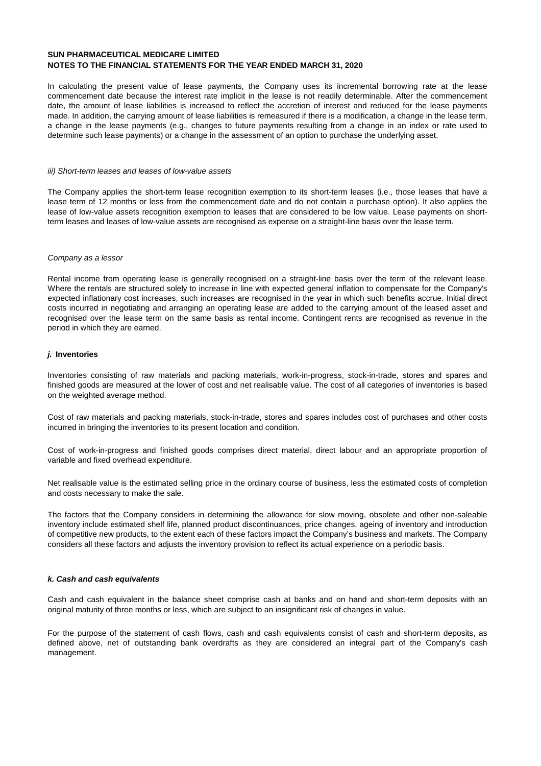In calculating the present value of lease payments, the Company uses its incremental borrowing rate at the lease commencement date because the interest rate implicit in the lease is not readily determinable. After the commencement date, the amount of lease liabilities is increased to reflect the accretion of interest and reduced for the lease payments made. In addition, the carrying amount of lease liabilities is remeasured if there is a modification, a change in the lease term, a change in the lease payments (e.g., changes to future payments resulting from a change in an index or rate used to determine such lease payments) or a change in the assessment of an option to purchase the underlying asset.

#### iii) Short-term leases and leases of low-value assets

The Company applies the short-term lease recognition exemption to its short-term leases (i.e., those leases that have a lease term of 12 months or less from the commencement date and do not contain a purchase option). It also applies the lease of low-value assets recognition exemption to leases that are considered to be low value. Lease payments on shortterm leases and leases of low-value assets are recognised as expense on a straight-line basis over the lease term.

#### Company as a lessor

Rental income from operating lease is generally recognised on a straight-line basis over the term of the relevant lease. Where the rentals are structured solely to increase in line with expected general inflation to compensate for the Company's expected inflationary cost increases, such increases are recognised in the year in which such benefits accrue. Initial direct costs incurred in negotiating and arranging an operating lease are added to the carrying amount of the leased asset and recognised over the lease term on the same basis as rental income. Contingent rents are recognised as revenue in the period in which they are earned.

#### **j. Inventories**

Inventories consisting of raw materials and packing materials, work-in-progress, stock-in-trade, stores and spares and finished goods are measured at the lower of cost and net realisable value. The cost of all categories of inventories is based on the weighted average method.

Cost of raw materials and packing materials, stock-in-trade, stores and spares includes cost of purchases and other costs incurred in bringing the inventories to its present location and condition.

Cost of work-in-progress and finished goods comprises direct material, direct labour and an appropriate proportion of variable and fixed overhead expenditure.

Net realisable value is the estimated selling price in the ordinary course of business, less the estimated costs of completion and costs necessary to make the sale.

The factors that the Company considers in determining the allowance for slow moving, obsolete and other non-saleable inventory include estimated shelf life, planned product discontinuances, price changes, ageing of inventory and introduction of competitive new products, to the extent each of these factors impact the Company's business and markets. The Company considers all these factors and adjusts the inventory provision to reflect its actual experience on a periodic basis.

#### **k. Cash and cash equivalents**

Cash and cash equivalent in the balance sheet comprise cash at banks and on hand and short-term deposits with an original maturity of three months or less, which are subject to an insignificant risk of changes in value.

For the purpose of the statement of cash flows, cash and cash equivalents consist of cash and short-term deposits, as defined above, net of outstanding bank overdrafts as they are considered an integral part of the Company's cash management.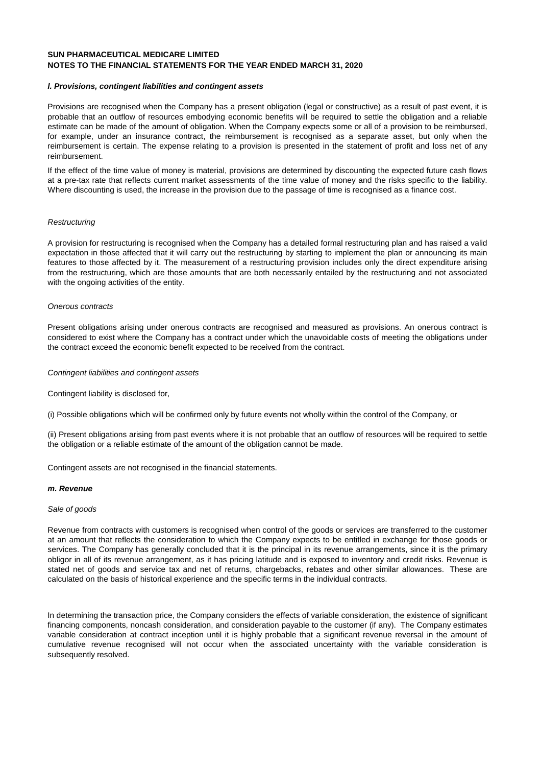#### **l. Provisions, contingent liabilities and contingent assets**

Provisions are recognised when the Company has a present obligation (legal or constructive) as a result of past event, it is probable that an outflow of resources embodying economic benefits will be required to settle the obligation and a reliable estimate can be made of the amount of obligation. When the Company expects some or all of a provision to be reimbursed, for example, under an insurance contract, the reimbursement is recognised as a separate asset, but only when the reimbursement is certain. The expense relating to a provision is presented in the statement of profit and loss net of any reimbursement.

If the effect of the time value of money is material, provisions are determined by discounting the expected future cash flows at a pre-tax rate that reflects current market assessments of the time value of money and the risks specific to the liability. Where discounting is used, the increase in the provision due to the passage of time is recognised as a finance cost.

#### **Restructuring**

A provision for restructuring is recognised when the Company has a detailed formal restructuring plan and has raised a valid expectation in those affected that it will carry out the restructuring by starting to implement the plan or announcing its main features to those affected by it. The measurement of a restructuring provision includes only the direct expenditure arising from the restructuring, which are those amounts that are both necessarily entailed by the restructuring and not associated with the ongoing activities of the entity.

#### Onerous contracts

Present obligations arising under onerous contracts are recognised and measured as provisions. An onerous contract is considered to exist where the Company has a contract under which the unavoidable costs of meeting the obligations under the contract exceed the economic benefit expected to be received from the contract.

#### Contingent liabilities and contingent assets

Contingent liability is disclosed for,

(i) Possible obligations which will be confirmed only by future events not wholly within the control of the Company, or

(ii) Present obligations arising from past events where it is not probable that an outflow of resources will be required to settle the obligation or a reliable estimate of the amount of the obligation cannot be made.

Contingent assets are not recognised in the financial statements.

#### **m. Revenue**

#### Sale of goods

Revenue from contracts with customers is recognised when control of the goods or services are transferred to the customer at an amount that reflects the consideration to which the Company expects to be entitled in exchange for those goods or services. The Company has generally concluded that it is the principal in its revenue arrangements, since it is the primary obligor in all of its revenue arrangement, as it has pricing latitude and is exposed to inventory and credit risks. Revenue is stated net of goods and service tax and net of returns, chargebacks, rebates and other similar allowances. These are calculated on the basis of historical experience and the specific terms in the individual contracts.

In determining the transaction price, the Company considers the effects of variable consideration, the existence of significant financing components, noncash consideration, and consideration payable to the customer (if any). The Company estimates variable consideration at contract inception until it is highly probable that a significant revenue reversal in the amount of cumulative revenue recognised will not occur when the associated uncertainty with the variable consideration is subsequently resolved.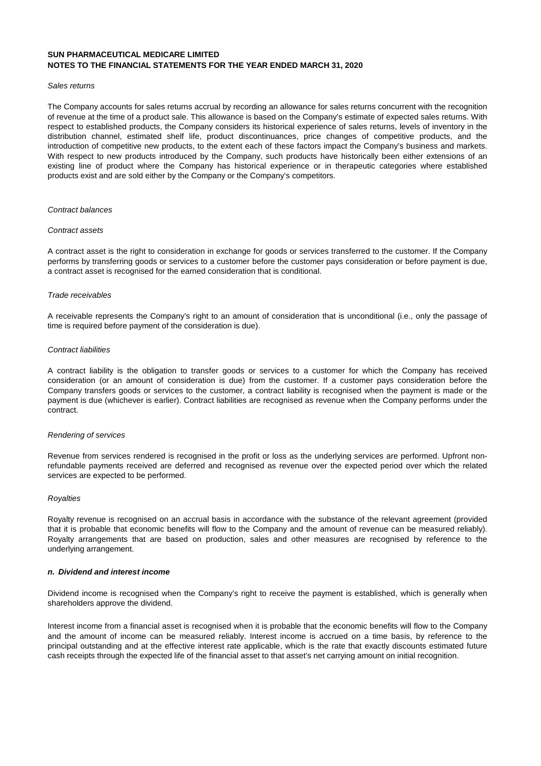#### Sales returns

The Company accounts for sales returns accrual by recording an allowance for sales returns concurrent with the recognition of revenue at the time of a product sale. This allowance is based on the Company's estimate of expected sales returns. With respect to established products, the Company considers its historical experience of sales returns, levels of inventory in the distribution channel, estimated shelf life, product discontinuances, price changes of competitive products, and the introduction of competitive new products, to the extent each of these factors impact the Company's business and markets. With respect to new products introduced by the Company, such products have historically been either extensions of an existing line of product where the Company has historical experience or in therapeutic categories where established products exist and are sold either by the Company or the Company's competitors.

#### Contract balances

#### Contract assets

A contract asset is the right to consideration in exchange for goods or services transferred to the customer. If the Company performs by transferring goods or services to a customer before the customer pays consideration or before payment is due, a contract asset is recognised for the earned consideration that is conditional.

#### Trade receivables

A receivable represents the Company's right to an amount of consideration that is unconditional (i.e., only the passage of time is required before payment of the consideration is due).

#### Contract liabilities

A contract liability is the obligation to transfer goods or services to a customer for which the Company has received consideration (or an amount of consideration is due) from the customer. If a customer pays consideration before the Company transfers goods or services to the customer, a contract liability is recognised when the payment is made or the payment is due (whichever is earlier). Contract liabilities are recognised as revenue when the Company performs under the contract.

#### Rendering of services

Revenue from services rendered is recognised in the profit or loss as the underlying services are performed. Upfront nonrefundable payments received are deferred and recognised as revenue over the expected period over which the related services are expected to be performed.

#### **Royalties**

Royalty revenue is recognised on an accrual basis in accordance with the substance of the relevant agreement (provided that it is probable that economic benefits will flow to the Company and the amount of revenue can be measured reliably). Royalty arrangements that are based on production, sales and other measures are recognised by reference to the underlying arrangement.

#### **n. Dividend and interest income**

Dividend income is recognised when the Company's right to receive the payment is established, which is generally when shareholders approve the dividend.

Interest income from a financial asset is recognised when it is probable that the economic benefits will flow to the Company and the amount of income can be measured reliably. Interest income is accrued on a time basis, by reference to the principal outstanding and at the effective interest rate applicable, which is the rate that exactly discounts estimated future cash receipts through the expected life of the financial asset to that asset's net carrying amount on initial recognition.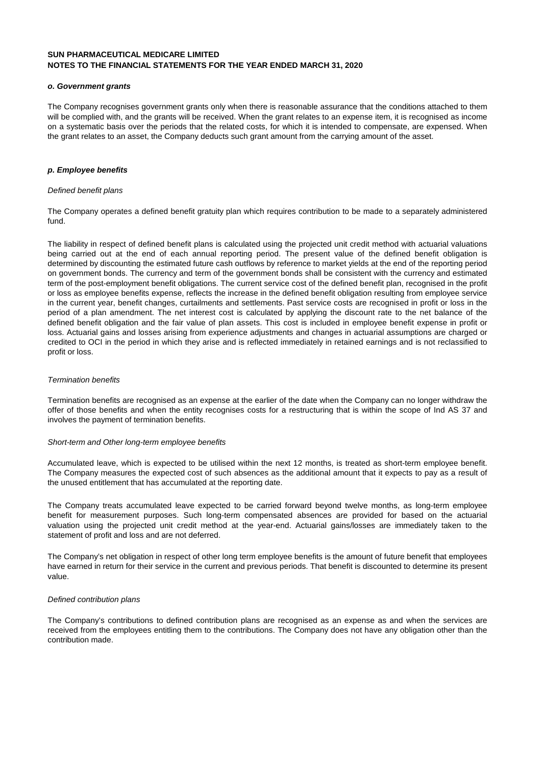#### **o. Government grants**

The Company recognises government grants only when there is reasonable assurance that the conditions attached to them will be complied with, and the grants will be received. When the grant relates to an expense item, it is recognised as income on a systematic basis over the periods that the related costs, for which it is intended to compensate, are expensed. When the grant relates to an asset, the Company deducts such grant amount from the carrying amount of the asset.

#### **p. Employee benefits**

#### Defined benefit plans

The Company operates a defined benefit gratuity plan which requires contribution to be made to a separately administered fund.

The liability in respect of defined benefit plans is calculated using the projected unit credit method with actuarial valuations being carried out at the end of each annual reporting period. The present value of the defined benefit obligation is determined by discounting the estimated future cash outflows by reference to market yields at the end of the reporting period on government bonds. The currency and term of the government bonds shall be consistent with the currency and estimated term of the post-employment benefit obligations. The current service cost of the defined benefit plan, recognised in the profit or loss as employee benefits expense, reflects the increase in the defined benefit obligation resulting from employee service in the current year, benefit changes, curtailments and settlements. Past service costs are recognised in profit or loss in the period of a plan amendment. The net interest cost is calculated by applying the discount rate to the net balance of the defined benefit obligation and the fair value of plan assets. This cost is included in employee benefit expense in profit or loss. Actuarial gains and losses arising from experience adjustments and changes in actuarial assumptions are charged or credited to OCI in the period in which they arise and is reflected immediately in retained earnings and is not reclassified to profit or loss.

#### Termination benefits

Termination benefits are recognised as an expense at the earlier of the date when the Company can no longer withdraw the offer of those benefits and when the entity recognises costs for a restructuring that is within the scope of Ind AS 37 and involves the payment of termination benefits.

#### Short-term and Other long-term employee benefits

Accumulated leave, which is expected to be utilised within the next 12 months, is treated as short-term employee benefit. The Company measures the expected cost of such absences as the additional amount that it expects to pay as a result of the unused entitlement that has accumulated at the reporting date.

The Company treats accumulated leave expected to be carried forward beyond twelve months, as long-term employee benefit for measurement purposes. Such long-term compensated absences are provided for based on the actuarial valuation using the projected unit credit method at the year-end. Actuarial gains/losses are immediately taken to the statement of profit and loss and are not deferred.

The Company's net obligation in respect of other long term employee benefits is the amount of future benefit that employees have earned in return for their service in the current and previous periods. That benefit is discounted to determine its present value.

#### Defined contribution plans

The Company's contributions to defined contribution plans are recognised as an expense as and when the services are received from the employees entitling them to the contributions. The Company does not have any obligation other than the contribution made.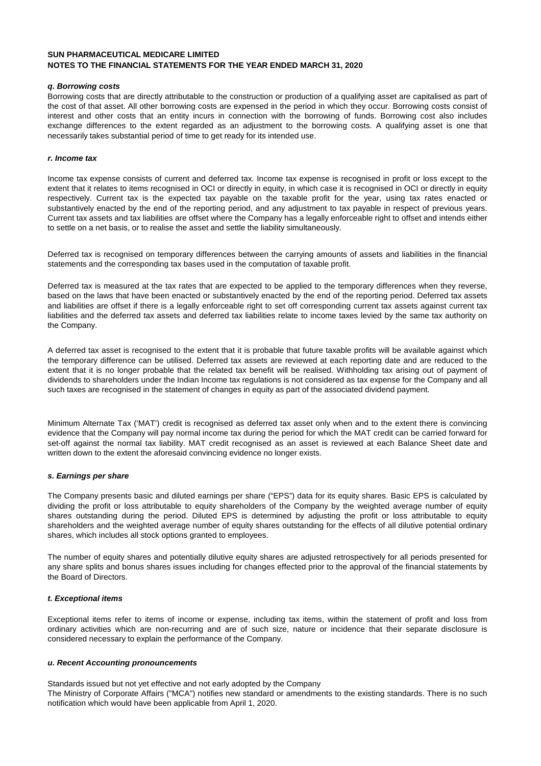#### **q. Borrowing costs**

Borrowing costs that are directly attributable to the construction or production of a qualifying asset are capitalised as part of the cost of that asset. All other borrowing costs are expensed in the period in which they occur. Borrowing costs consist of interest and other costs that an entity incurs in connection with the borrowing of funds. Borrowing cost also includes exchange differences to the extent regarded as an adjustment to the borrowing costs. A qualifying asset is one that necessarily takes substantial period of time to get ready for its intended use.

#### **r. Income tax**

Income tax expense consists of current and deferred tax. Income tax expense is recognised in profit or loss except to the extent that it relates to items recognised in OCI or directly in equity, in which case it is recognised in OCI or directly in equity respectively. Current tax is the expected tax payable on the taxable profit for the year, using tax rates enacted or substantively enacted by the end of the reporting period, and any adjustment to tax payable in respect of previous years. Current tax assets and tax liabilities are offset where the Company has a legally enforceable right to offset and intends either to settle on a net basis, or to realise the asset and settle the liability simultaneously.

Deferred tax is recognised on temporary differences between the carrying amounts of assets and liabilities in the financial statements and the corresponding tax bases used in the computation of taxable profit.

Deferred tax is measured at the tax rates that are expected to be applied to the temporary differences when they reverse, based on the laws that have been enacted or substantively enacted by the end of the reporting period. Deferred tax assets and liabilities are offset if there is a legally enforceable right to set off corresponding current tax assets against current tax liabilities and the deferred tax assets and deferred tax liabilities relate to income taxes levied by the same tax authority on the Company.

A deferred tax asset is recognised to the extent that it is probable that future taxable profits will be available against which the temporary difference can be utilised. Deferred tax assets are reviewed at each reporting date and are reduced to the extent that it is no longer probable that the related tax benefit will be realised. Withholding tax arising out of payment of dividends to shareholders under the Indian Income tax regulations is not considered as tax expense for the Company and all such taxes are recognised in the statement of changes in equity as part of the associated dividend payment.

Minimum Alternate Tax ('MAT') credit is recognised as deferred tax asset only when and to the extent there is convincing evidence that the Company will pay normal income tax during the period for which the MAT credit can be carried forward for set-off against the normal tax liability. MAT credit recognised as an asset is reviewed at each Balance Sheet date and written down to the extent the aforesaid convincing evidence no longer exists.

#### **s. Earnings per share**

The Company presents basic and diluted earnings per share ("EPS") data for its equity shares. Basic EPS is calculated by dividing the profit or loss attributable to equity shareholders of the Company by the weighted average number of equity shares outstanding during the period. Diluted EPS is determined by adjusting the profit or loss attributable to equity shareholders and the weighted average number of equity shares outstanding for the effects of all dilutive potential ordinary shares, which includes all stock options granted to employees.

The number of equity shares and potentially dilutive equity shares are adjusted retrospectively for all periods presented for any share splits and bonus shares issues including for changes effected prior to the approval of the financial statements by the Board of Directors.

#### **t. Exceptional items**

Exceptional items refer to items of income or expense, including tax items, within the statement of profit and loss from ordinary activities which are non-recurring and are of such size, nature or incidence that their separate disclosure is considered necessary to explain the performance of the Company.

#### **u. Recent Accounting pronouncements**

Standards issued but not yet effective and not early adopted by the Company

The Ministry of Corporate Affairs ("MCA") notifies new standard or amendments to the existing standards. There is no such notification which would have been applicable from April 1, 2020.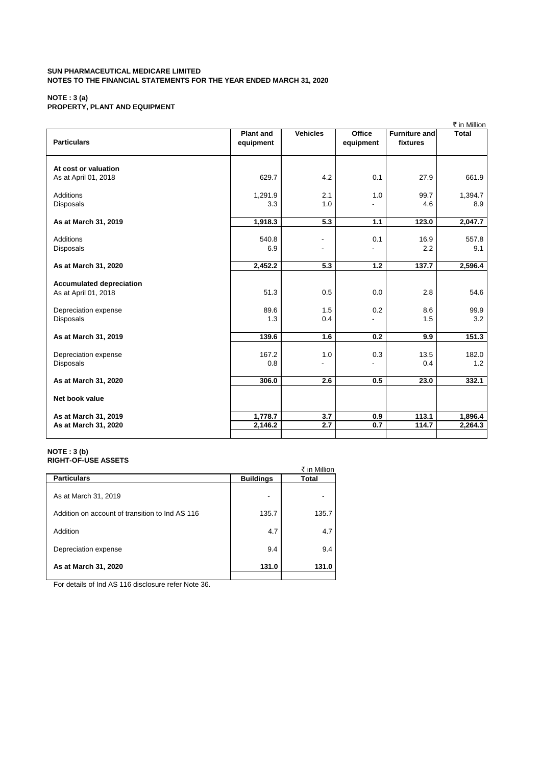#### **NOTE : 3 (a) PROPERTY, PLANT AND EQUIPMENT**

|                                                         |                               |                                            |                            |                                  | ₹ in Million                    |
|---------------------------------------------------------|-------------------------------|--------------------------------------------|----------------------------|----------------------------------|---------------------------------|
| <b>Particulars</b>                                      | <b>Plant and</b><br>equipment | <b>Vehicles</b>                            | <b>Office</b><br>equipment | <b>Furniture and</b><br>fixtures | <b>Total</b>                    |
| At cost or valuation<br>As at April 01, 2018            | 629.7                         | 4.2                                        | 0.1                        | 27.9                             | 661.9                           |
| <b>Additions</b><br><b>Disposals</b>                    | 1,291.9<br>3.3                | 2.1<br>1.0                                 | 1.0                        | 99.7<br>4.6                      | 1,394.7<br>8.9                  |
| As at March 31, 2019                                    | 1,918.3                       | 5.3                                        | 1.1                        | 123.0                            | 2,047.7                         |
| <b>Additions</b><br>Disposals                           | 540.8<br>6.9                  | $\overline{\phantom{a}}$<br>$\blacksquare$ | 0.1                        | 16.9<br>2.2                      | 557.8<br>9.1                    |
| As at March 31, 2020                                    | 2,452.2                       | 5.3                                        | 1.2                        | 137.7                            | 2,596.4                         |
| <b>Accumulated depreciation</b><br>As at April 01, 2018 | 51.3                          | 0.5                                        | 0.0                        | 2.8                              | 54.6                            |
| Depreciation expense<br>Disposals                       | 89.6<br>1.3                   | 1.5<br>0.4                                 | 0.2                        | 8.6<br>1.5                       | 99.9<br>3.2                     |
| As at March 31, 2019                                    | 139.6                         | 1.6                                        | 0.2                        | 9.9                              | 151.3                           |
| Depreciation expense<br><b>Disposals</b>                | 167.2<br>0.8                  | 1.0<br>$\overline{a}$                      | 0.3<br>÷.                  | 13.5<br>0.4                      | 182.0<br>1.2                    |
| As at March 31, 2020                                    | 306.0                         | 2.6                                        | 0.5                        | 23.0                             | 332.1                           |
| Net book value                                          |                               |                                            |                            |                                  |                                 |
| As at March 31, 2019<br>As at March 31, 2020            | 1,778.7<br>2,146.2            | 3.7<br>2.7                                 | 0.9<br>0.7                 | 113.1<br>114.7                   | 1,896.4<br>$2,264.\overline{3}$ |

#### **NOTE : 3 (b) RIGHT-OF-USE ASSETS**

|                                                 |                  | ₹ in Million |
|-------------------------------------------------|------------------|--------------|
| <b>Particulars</b>                              | <b>Buildings</b> | Total        |
| As at March 31, 2019                            |                  |              |
| Addition on account of transition to Ind AS 116 | 135.7            | 135.7        |
| Addition                                        | 4.7              | 4.7          |
| Depreciation expense                            | 9.4              | 9.4          |
| As at March 31, 2020                            | 131.0            | 131.0        |
|                                                 |                  |              |

For details of Ind AS 116 disclosure refer Note 36.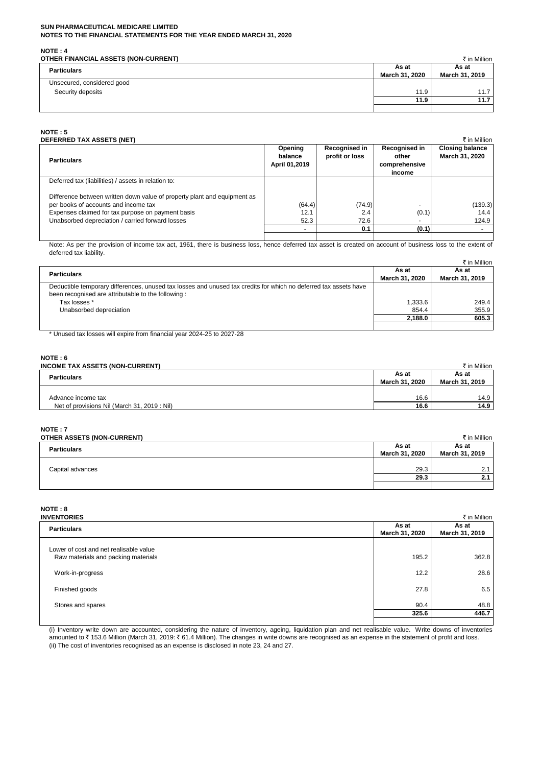**NOTE : 4**

| .<br>OTHER FINANCIAL ASSETS (NON-CURRENT) |                         | ₹ in Million            |
|-------------------------------------------|-------------------------|-------------------------|
| <b>Particulars</b>                        | As at<br>March 31, 2020 | As at<br>March 31, 2019 |
| Unsecured, considered good                |                         |                         |
| Security deposits                         | 11.9                    | 11.7                    |
|                                           | 11.9                    | 11.7                    |
|                                           |                         |                         |

#### **NOTE : 5**

| <b>DEFERRED TAX ASSETS (NET)</b>                                         |                                            |                                 |                                                   | ₹ in Million                             |
|--------------------------------------------------------------------------|--------------------------------------------|---------------------------------|---------------------------------------------------|------------------------------------------|
| <b>Particulars</b>                                                       | <b>Opening</b><br>balance<br>April 01,2019 | Recognised in<br>profit or loss | Recognised in<br>other<br>comprehensive<br>income | <b>Closing balance</b><br>March 31, 2020 |
| Deferred tax (liabilities) / assets in relation to:                      |                                            |                                 |                                                   |                                          |
| Difference between written down value of property plant and equipment as |                                            |                                 |                                                   |                                          |
| per books of accounts and income tax                                     | (64.4)                                     | (74.9)                          |                                                   | (139.3)                                  |
| Expenses claimed for tax purpose on payment basis                        | 12.1                                       | 2.4                             | (0.1)                                             | 14.4                                     |
| Unabsorbed depreciation / carried forward losses                         | 52.3                                       | 72.6                            |                                                   | 124.9                                    |
|                                                                          |                                            | 0.1                             | (0.1)                                             |                                          |
|                                                                          |                                            |                                 |                                                   |                                          |

Note: As per the provision of income tax act, 1961, there is business loss, hence deferred tax asset is created on account of business loss to the extent of deferred tax liability.

|                                                                                                                  |         | ₹ in Million   |
|------------------------------------------------------------------------------------------------------------------|---------|----------------|
| <b>Particulars</b><br>March 31, 2020                                                                             |         | As at          |
|                                                                                                                  |         | March 31, 2019 |
| Deductible temporary differences, unused tax losses and unused tax credits for which no deferred tax assets have |         |                |
| been recognised are attributable to the following:                                                               |         |                |
| Tax losses *                                                                                                     | 1.333.6 | 249.4          |
| Unabsorbed depreciation                                                                                          | 854.4   | 355.9          |
|                                                                                                                  | 2.188.0 | 605.3          |
|                                                                                                                  |         |                |

\* Unused tax losses will expire from financial year 2024-25 to 2027-28

# **NOTE : 6**

| <b>INCOME TAX ASSETS (NON-CURRENT)</b>      |                | ₹ in Million   |
|---------------------------------------------|----------------|----------------|
| <b>Particulars</b>                          |                | As at          |
|                                             | March 31, 2020 | March 31, 2019 |
|                                             |                |                |
| Advance income tax                          | 16.6           | 14.9           |
| Net of provisions Nil (March 31, 2019: Nil) | 16.6           | 14.9           |

# **NOTE : 7**

| OTHER ASSETS (NON-CURRENT) |                | ₹ in Million   |
|----------------------------|----------------|----------------|
| <b>Particulars</b>         |                | As at          |
|                            | March 31, 2020 | March 31, 2019 |
|                            |                |                |
| Capital advances           | 29.3           |                |
|                            | 29.3           | 2.1            |
|                            |                |                |

# **NOTE : 8**

| <b>INVENTORIES</b>                                                            |                         | ₹ in Million            |
|-------------------------------------------------------------------------------|-------------------------|-------------------------|
| <b>Particulars</b>                                                            | As at<br>March 31, 2020 | As at<br>March 31, 2019 |
| Lower of cost and net realisable value<br>Raw materials and packing materials | 195.2                   | 362.8                   |
| Work-in-progress                                                              | 12.2                    | 28.6                    |
| Finished goods                                                                | 27.8                    | 6.5                     |
| Stores and spares                                                             | 90.4                    | 48.8                    |
|                                                                               | 325.6                   | 446.7                   |
|                                                                               |                         |                         |

(i) Inventory write down are accounted, considering the nature of inventory, ageing, liquidation plan and net realisable value. Write downs of inventories amounted to ₹ 153.6 Million (March 31, 2019: ₹ 61.4 Million). The changes in write downs are recognised as an expense in the statement of profit and loss. (ii) The cost of inventories recognised as an expense is disclosed in note 23, 24 and 27.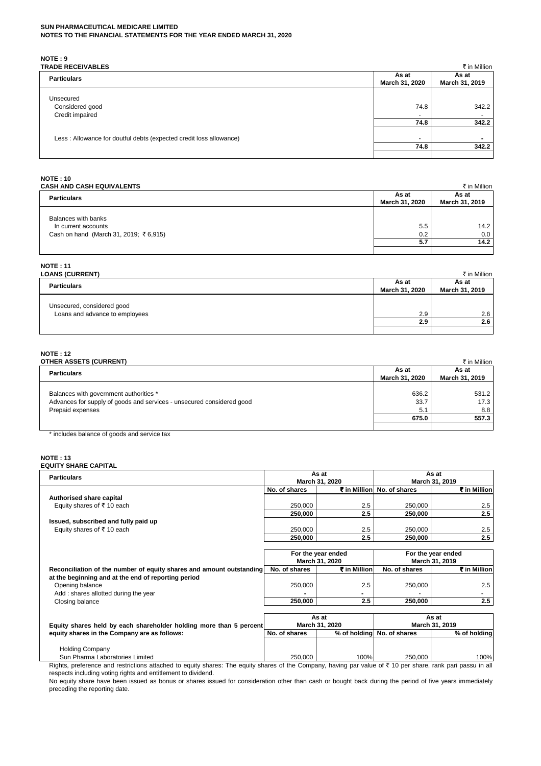**NOTE : 9**

| <b>TRADE RECEIVABLES</b>                                           |                          | ₹ in Million                      |
|--------------------------------------------------------------------|--------------------------|-----------------------------------|
| <b>Particulars</b>                                                 |                          | As at                             |
|                                                                    |                          | March 31, 2019                    |
| Unsecured<br>Considered good<br>Credit impaired                    | 74.8<br>٠                | 342.2<br>$\overline{\phantom{0}}$ |
|                                                                    | 74.8                     | 342.2                             |
| Less: Allowance for doutful debts (expected credit loss allowance) | $\overline{\phantom{a}}$ | $\overline{\phantom{0}}$          |
|                                                                    | 74.8                     | 342.2                             |

# **NOTE : 10**

| . |                                  |  |
|---|----------------------------------|--|
|   | <b>CASH AND CASH EQUIVALENTS</b> |  |

| CASH AND CASH EQUIVALENTS                                                           |                         | ₹ in Million            |
|-------------------------------------------------------------------------------------|-------------------------|-------------------------|
| <b>Particulars</b>                                                                  | As at<br>March 31, 2020 | As at<br>March 31, 2019 |
| Balances with banks<br>In current accounts<br>Cash on hand (March 31, 2019; ₹6,915) | 5.5<br>0.2              | 14.2<br>0.0             |
|                                                                                     | 5.7                     | 14.2                    |

# **NOTE : 11**

| <b>LOANS (CURRENT)</b>                                       |                | ₹ in Million   |
|--------------------------------------------------------------|----------------|----------------|
| <b>Particulars</b>                                           |                | As at          |
|                                                              | March 31, 2020 | March 31, 2019 |
| Unsecured, considered good<br>Loans and advance to employees | 2.9            | 2.6            |
|                                                              | 2.9            | 2.6            |
|                                                              |                |                |

# **NOTE : 12**

| <b>OTHER ASSETS (CURRENT)</b>                                         |                         | ₹ in Million            |
|-----------------------------------------------------------------------|-------------------------|-------------------------|
| <b>Particulars</b>                                                    | As at<br>March 31, 2020 | As at<br>March 31, 2019 |
| Balances with government authorities *                                | 636.2                   | 531.2                   |
| Advances for supply of goods and services - unsecured considered good | 33.7                    | 17.3                    |
| Prepaid expenses                                                      | 5.1                     | 8.8                     |
|                                                                       | 675.0                   | 557.3                   |
|                                                                       |                         |                         |

\* includes balance of goods and service tax

# **NOTE : 13**

| <b>Particulars</b>                                                   | As at<br>March 31, 2020 |                    | As at<br>March 31, 2019    |                    |
|----------------------------------------------------------------------|-------------------------|--------------------|----------------------------|--------------------|
|                                                                      |                         |                    |                            |                    |
|                                                                      | No. of shares           |                    | ₹ in Million No. of shares | ₹ in Million       |
| Authorised share capital                                             |                         |                    |                            |                    |
| Equity shares of ₹10 each                                            | 250.000                 | 2.5                | 250,000                    | 2.5                |
|                                                                      | 250.000                 | 2.5                | 250,000                    | 2.5                |
| Issued, subscribed and fully paid up                                 |                         |                    |                            |                    |
| Equity shares of ₹10 each                                            | 250,000                 | 2.5                | 250,000                    | 2.5                |
|                                                                      | 250,000                 | 2.5                | 250,000                    | 2.5                |
|                                                                      |                         |                    |                            |                    |
|                                                                      |                         | For the year ended |                            | For the year ended |
|                                                                      |                         | March 31, 2020     |                            | March 31, 2019     |
| Reconciliation of the number of equity shares and amount outstanding | No. of shares           | ₹ in Million       | No. of shares              | ₹ in Million       |
|                                                                      |                         |                    |                            |                    |
| at the beginning and at the end of reporting period                  |                         |                    |                            |                    |
| Opening balance                                                      | 250,000                 | 2.5                | 250,000                    | 2.5                |
| Add: shares allotted during the year                                 |                         |                    |                            |                    |
| Closing balance                                                      | 250,000                 | 2.5                | 250,000                    | 2.5                |
|                                                                      |                         |                    |                            |                    |
|                                                                      |                         | As at              |                            | As at              |
| Equity shares held by each shareholder holding more than 5 percent   |                         | March 31, 2020     |                            | March 31, 2019     |
| equity shares in the Company are as follows:                         | No. of shares           |                    | % of holding No. of shares | % of holding       |

Holding Company Sun Pharma Laboratories Limited 100% 250,000 250,000 100% 250,000 250,000 250,000 100% Rights, preference and restrictions attached to equity shares: The equity shares of the Company, having par value of  $\bar{\tau}$  10 per share, rank pari passu in all

No equity share have been issued as bonus or shares issued for consideration other than cash or bought back during the period of five years immediately preceding the reporting date. respects including voting rights and entitlement to dividend.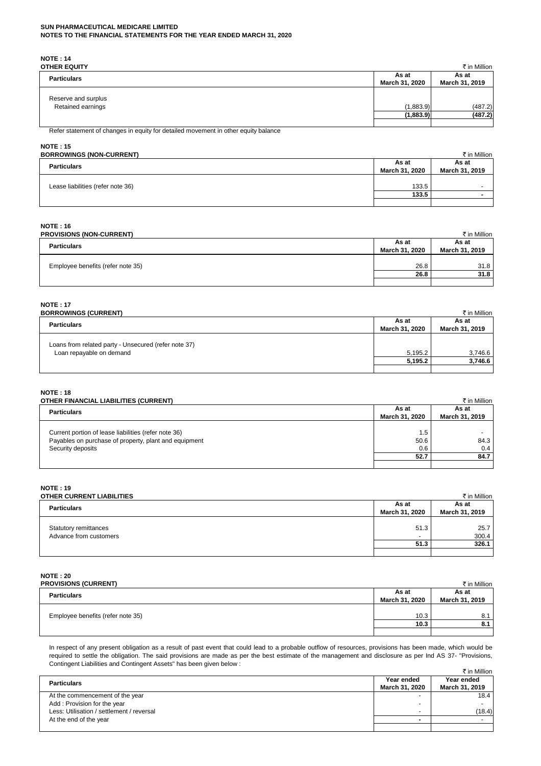**NOTE : 14**

| <b>OTHER EQUITY</b>                      |                         | ₹ in Million            |
|------------------------------------------|-------------------------|-------------------------|
| <b>Particulars</b>                       | As at<br>March 31, 2020 | As at<br>March 31, 2019 |
| Reserve and surplus<br>Retained earnings | (1,883.9)<br>(1,883.9)  | (487.2)<br>(487.2)      |
|                                          |                         |                         |

Refer statement of changes in equity for detailed movement in other equity balance

# **NOTE : 15**

| <b>BORROWINGS (NON-CURRENT)</b>   |                         | ₹ in Million             |
|-----------------------------------|-------------------------|--------------------------|
| <b>Particulars</b>                | As at<br>March 31, 2020 | As at<br>March 31, 2019  |
| Lease liabilities (refer note 36) | 133.5                   | $\overline{\phantom{0}}$ |
|                                   | 133.5                   |                          |
|                                   |                         |                          |

# **NOTE : 16**

| <b>PROVISIONS (NON-CURRENT)</b>   |                         | ₹ in Million            |
|-----------------------------------|-------------------------|-------------------------|
| <b>Particulars</b>                | As at<br>March 31, 2020 | As at<br>March 31, 2019 |
| Employee benefits (refer note 35) | 26.8                    | 31.8                    |
|                                   | 26.8                    | 31.8                    |
|                                   |                         |                         |

#### **NOTE : 17**

| <b>BORROWINGS (CURRENT)</b>                                                      |                         | ₹ in Million            |
|----------------------------------------------------------------------------------|-------------------------|-------------------------|
| <b>Particulars</b>                                                               | As at<br>March 31, 2020 | As at<br>March 31, 2019 |
| Loans from related party - Unsecured (refer note 37)<br>Loan repayable on demand | 5.195.2                 | 3,746.6                 |
|                                                                                  | 5.195.2                 | 3,746.6                 |
|                                                                                  |                         |                         |

#### **NOTE : 18**

| OTHER FINANCIAL LIABILITIES (CURRENT)                                                                                              |                         | ₹ in Million            |
|------------------------------------------------------------------------------------------------------------------------------------|-------------------------|-------------------------|
| <b>Particulars</b>                                                                                                                 | As at<br>March 31, 2020 | As at<br>March 31, 2019 |
| Current portion of lease liabilities (refer note 36)<br>Payables on purchase of property, plant and equipment<br>Security deposits | 1.5<br>50.6<br>0.6      | 84.3<br>0.4             |
|                                                                                                                                    | 52.7                    | 84.7                    |
|                                                                                                                                    |                         |                         |

#### **NOTE : 19**

| OTHER CURRENT LIABILITIES |                | ₹ in Million   |
|---------------------------|----------------|----------------|
| <b>Particulars</b>        |                | As at          |
|                           | March 31, 2020 | March 31, 2019 |
|                           |                |                |
| Statutory remittances     | 51.3           | 25.7           |
| Advance from customers    | $\sim$         | 300.4          |
|                           | 51.3           | 326.1          |
|                           |                |                |

# **NOTE : 20**

| <b>PROVISIONS (CURRENT)</b>       |                | ₹ in Million   |
|-----------------------------------|----------------|----------------|
| <b>Particulars</b>                |                | As at          |
|                                   | March 31, 2020 | March 31, 2019 |
|                                   |                |                |
| Employee benefits (refer note 35) | 10.3           | 8.1            |
|                                   | 10.3           | 8.1            |
|                                   |                |                |

 $\bar{\tau}$  in Million In respect of any present obligation as a result of past event that could lead to a probable outflow of resources, provisions has been made, which would be required to settle the obligation. The said provisions are made as per the best estimate of the management and disclosure as per Ind AS 37- "Provisions, Contingent Liabilities and Contingent Assets" has been given below :

|                                           |                          | K in Million   |
|-------------------------------------------|--------------------------|----------------|
| <b>Particulars</b>                        | Year ended               | Year ended     |
|                                           | March 31, 2020           | March 31, 2019 |
| At the commencement of the year           | $\overline{\phantom{a}}$ | 18.4           |
| Add: Provision for the year               | $\overline{\phantom{a}}$ |                |
| Less: Utilisation / settlement / reversal | $\overline{\phantom{a}}$ | (18.4)         |
| At the end of the year                    |                          |                |
|                                           |                          |                |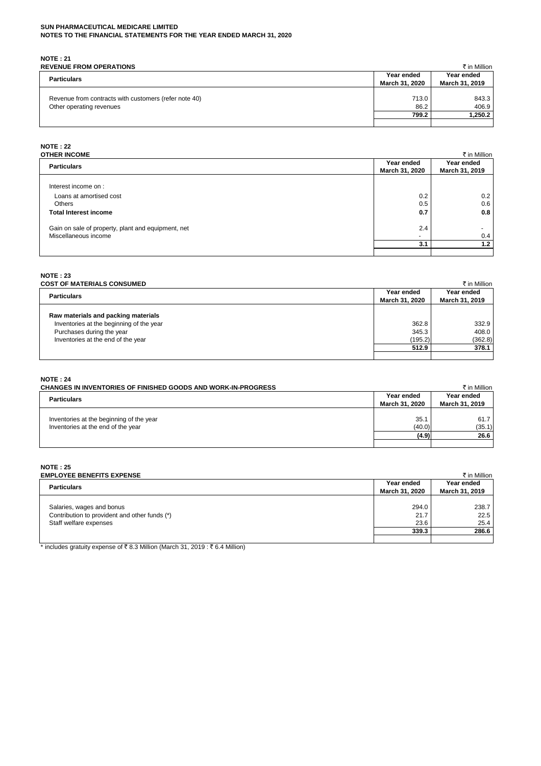# **NOTE : 21**

| <b>REVENUE FROM OPERATIONS</b>                                                    |                              | ₹ in Million                 |
|-----------------------------------------------------------------------------------|------------------------------|------------------------------|
| <b>Particulars</b>                                                                | Year ended<br>March 31, 2020 | Year ended<br>March 31, 2019 |
| Revenue from contracts with customers (refer note 40)<br>Other operating revenues | 713.0<br>86.2                | 843.3<br>406.9               |
|                                                                                   | 799.2                        | 1,250.2                      |
|                                                                                   |                              |                              |

# **NOTE : 22**

| OTHER INCOME                                       |                              | ₹ in Million                 |
|----------------------------------------------------|------------------------------|------------------------------|
| <b>Particulars</b>                                 | Year ended<br>March 31, 2020 | Year ended<br>March 31, 2019 |
| Interest income on :                               |                              |                              |
| Loans at amortised cost<br>Others                  | 0.2<br>0.5                   | 0.2<br>0.6                   |
| <b>Total Interest income</b>                       | 0.7                          | 0.8                          |
| Gain on sale of property, plant and equipment, net | 2.4                          |                              |
| Miscellaneous income                               | $\overline{\phantom{0}}$     | 0.4                          |
|                                                    | 3.1                          | 1.2                          |

# **NOTE : 23**

| <b>COST OF MATERIALS CONSUMED</b>        |                | ₹ in Million   |
|------------------------------------------|----------------|----------------|
| <b>Particulars</b>                       |                | Year ended     |
|                                          | March 31, 2020 | March 31, 2019 |
|                                          |                |                |
| Raw materials and packing materials      |                |                |
| Inventories at the beginning of the year | 362.8          | 332.9          |
| Purchases during the year                | 345.3          | 408.0          |
| Inventories at the end of the year       | (195.2)        | (362.8)        |
|                                          | 512.9          | 378.1          |
|                                          |                |                |

# **NOTE : 24**

| <b>CHANGES IN INVENTORIES OF FINISHED GOODS AND WORK-IN-PROGRESS</b>           |                              | ₹ in Million                 |
|--------------------------------------------------------------------------------|------------------------------|------------------------------|
| <b>Particulars</b>                                                             | Year ended<br>March 31, 2020 | Year ended<br>March 31, 2019 |
| Inventories at the beginning of the year<br>Inventories at the end of the year | 35.1<br>(40.0)               | 61.7<br>(35.1)               |
|                                                                                | (4.9)                        | 26.6                         |
|                                                                                |                              |                              |

#### **NOTE : 25**

| <b>EMPLOYEE BENEFITS EXPENSE</b>              |                              | ₹ in Million                 |
|-----------------------------------------------|------------------------------|------------------------------|
| <b>Particulars</b>                            | Year ended<br>March 31, 2020 | Year ended<br>March 31, 2019 |
| Salaries, wages and bonus                     | 294.0                        | 238.7                        |
| Contribution to provident and other funds (*) | 21.7                         | 22.5                         |
| Staff welfare expenses                        | 23.6                         | 25.4                         |
|                                               | 339.3                        | 286.6                        |
|                                               |                              |                              |

 $\frac{1}{\pi}$  includes gratuity expense of ₹8.3 Million (March 31, 2019 : ₹6.4 Million)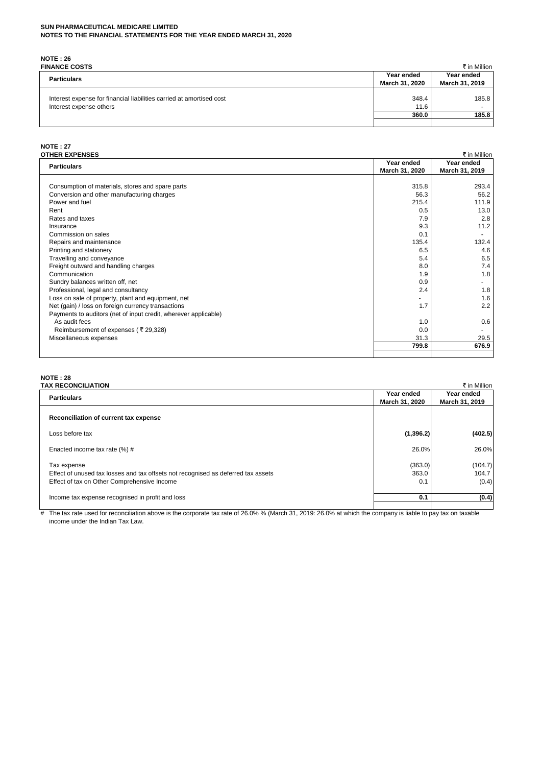**NOTE : 26**

| <b>FINANCE COSTS</b>                                                                            |                              | ₹ in Million                 |
|-------------------------------------------------------------------------------------------------|------------------------------|------------------------------|
| <b>Particulars</b>                                                                              | Year ended<br>March 31, 2020 | Year ended<br>March 31, 2019 |
| Interest expense for financial liabilities carried at amortised cost<br>Interest expense others | 348.4<br>11.6                | 185.8                        |
|                                                                                                 | 360.0                        | 185.8                        |
|                                                                                                 |                              |                              |

# **NOTE : 27**

| <b>OTHER EXPENSES</b>                                           |                | ₹ in Million   |
|-----------------------------------------------------------------|----------------|----------------|
| <b>Particulars</b>                                              | Year ended     | Year ended     |
|                                                                 | March 31, 2020 | March 31, 2019 |
|                                                                 |                |                |
| Consumption of materials, stores and spare parts                | 315.8          | 293.4          |
| Conversion and other manufacturing charges                      | 56.3           | 56.2           |
| Power and fuel                                                  | 215.4          | 111.9          |
| Rent                                                            | 0.5            | 13.0           |
| Rates and taxes                                                 | 7.9            | 2.8            |
| Insurance                                                       | 9.3            | 11.2           |
| Commission on sales                                             | 0.1            |                |
| Repairs and maintenance                                         | 135.4          | 132.4          |
| Printing and stationery                                         | 6.5            | 4.6            |
| Travelling and conveyance                                       | 5.4            | 6.5            |
| Freight outward and handling charges                            | 8.0            | 7.4            |
| Communication                                                   | 1.9            | 1.8            |
| Sundry balances written off, net                                | 0.9            |                |
| Professional, legal and consultancy                             | 2.4            | 1.8            |
| Loss on sale of property, plant and equipment, net              |                | 1.6            |
| Net (gain) / loss on foreign currency transactions              | 1.7            | 2.2            |
| Payments to auditors (net of input credit, wherever applicable) |                |                |
| As audit fees                                                   | 1.0            | 0.6            |
| Reimbursement of expenses (₹29,328)                             | 0.0            |                |
| Miscellaneous expenses                                          | 31.3           | 29.5           |
|                                                                 | 799.8          | 676.9          |
|                                                                 |                |                |

# **NOTE : 28**

| <b>TAX RECONCILIATION</b>                                                         |                | ₹ in Million   |
|-----------------------------------------------------------------------------------|----------------|----------------|
| <b>Particulars</b>                                                                | Year ended     | Year ended     |
|                                                                                   | March 31, 2020 | March 31, 2019 |
| Reconciliation of current tax expense                                             |                |                |
| Loss before tax                                                                   | (1,396.2)      | (402.5)        |
| Enacted income tax rate (%) #                                                     | 26.0%          | 26.0%          |
| Tax expense                                                                       | (363.0)        | (104.7)        |
| Effect of unused tax losses and tax offsets not recognised as deferred tax assets | 363.0          | 104.7          |
| Effect of tax on Other Comprehensive Income                                       | 0.1            | (0.4)          |
|                                                                                   |                |                |
| Income tax expense recognised in profit and loss                                  | 0.1            | (0.4)          |
|                                                                                   |                |                |

# The tax rate used for reconciliation above is the corporate tax rate of 26.0% % (March 31, 2019: 26.0% at which the company is liable to pay tax on taxable income under the Indian Tax Law.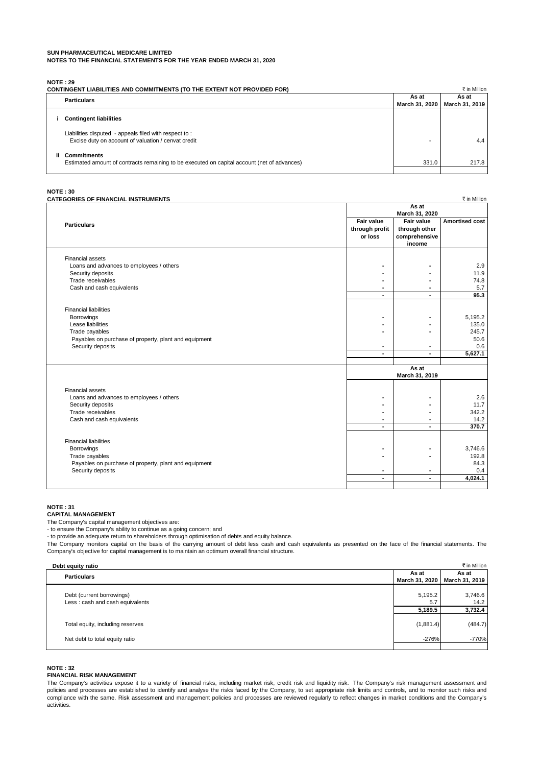**NOTE : 29**

|     | <b>CONTINGENT LIABILITIES AND COMMITMENTS (TO THE EXTENT NOT PROVIDED FOR)</b>                                    |                | ₹ in Million   |
|-----|-------------------------------------------------------------------------------------------------------------------|----------------|----------------|
|     | <b>Particulars</b>                                                                                                | As at          | As at          |
|     |                                                                                                                   | March 31, 2020 | March 31, 2019 |
|     | <b>Contingent liabilities</b>                                                                                     |                |                |
|     | Liabilities disputed - appeals filed with respect to:<br>Excise duty on account of valuation / cenvat credit      |                | 4.4            |
| ij. | <b>Commitments</b><br>Estimated amount of contracts remaining to be executed on capital account (net of advances) | 331.0          | 217.8          |

**NOTE : 30**

| CATEGORIES OF FINANCIAL INSTRUMENTS                   |                          |                          | ₹ in Million          |
|-------------------------------------------------------|--------------------------|--------------------------|-----------------------|
|                                                       |                          | As at                    |                       |
|                                                       |                          | March 31, 2020           |                       |
|                                                       | Fair value               | Fair value               | <b>Amortised cost</b> |
| <b>Particulars</b>                                    | through profit           | through other            |                       |
|                                                       | or loss                  | comprehensive            |                       |
|                                                       |                          | income                   |                       |
|                                                       |                          |                          |                       |
| <b>Financial assets</b>                               |                          |                          |                       |
| Loans and advances to employees / others              |                          |                          | 2.9                   |
| Security deposits                                     |                          |                          | 11.9                  |
|                                                       |                          |                          |                       |
| Trade receivables                                     |                          |                          | 74.8                  |
| Cash and cash equivalents                             |                          |                          | 5.7                   |
|                                                       | $\overline{\phantom{a}}$ |                          | 95.3                  |
|                                                       |                          |                          |                       |
| <b>Financial liabilities</b>                          |                          |                          |                       |
| Borrowings                                            |                          |                          | 5,195.2               |
| Lease liabilities                                     |                          |                          | 135.0                 |
| Trade payables                                        |                          |                          | 245.7                 |
| Payables on purchase of property, plant and equipment |                          |                          | 50.6                  |
| Security deposits                                     |                          |                          | 0.6                   |
|                                                       | $\blacksquare$           | $\blacksquare$           | 5,627.1               |
|                                                       |                          |                          |                       |
|                                                       |                          | As at                    |                       |
|                                                       |                          | March 31, 2019           |                       |
|                                                       |                          |                          |                       |
| <b>Financial assets</b>                               |                          |                          |                       |
| Loans and advances to employees / others              |                          |                          | 2.6                   |
| Security deposits                                     |                          |                          | 11.7                  |
| Trade receivables                                     |                          |                          | 342.2                 |
| Cash and cash equivalents                             |                          |                          | 14.2                  |
|                                                       | $\blacksquare$           | $\overline{\phantom{a}}$ | 370.7                 |
|                                                       |                          |                          |                       |
| <b>Financial liabilities</b>                          |                          |                          |                       |
| Borrowings                                            |                          |                          | 3,746.6               |
| Trade payables                                        |                          |                          | 192.8                 |
|                                                       |                          |                          |                       |
| Payables on purchase of property, plant and equipment |                          |                          | 84.3                  |
| Security deposits                                     |                          |                          | 0.4                   |
|                                                       | $\blacksquare$           | $\overline{\phantom{a}}$ | 4,024.1               |
|                                                       |                          |                          |                       |

#### **NOTE : 31**

**CAPITAL MANAGEMENT**

The Company's capital management objectives are:

- to ensure the Company's ability to continue as a going concern; and

- to provide an adequate return to shareholders through optimisation of debts and equity balance.

The Company monitors capital on the basis of the carrying amount of debt less cash and cash equivalents as presented on the face of the financial statements. The Company's objective for capital management is to maintain an optimum overall financial structure.

| Debt equity ratio                |                | ₹ in Million   |
|----------------------------------|----------------|----------------|
| <b>Particulars</b>               | As at          | As at          |
|                                  | March 31, 2020 | March 31, 2019 |
|                                  |                |                |
| Debt (current borrowings)        | 5,195.2        | 3,746.6        |
| Less: cash and cash equivalents  | 5.7            | 14.2           |
|                                  | 5,189.5        | 3,732.4        |
|                                  |                |                |
| Total equity, including reserves | (1,881.4)      | (484.7)        |
|                                  |                |                |
| Net debt to total equity ratio   | $-276%$        | $-770%$        |
|                                  |                |                |

#### **NOTE : 32**

#### **FINANCIAL RISK MANAGEMENT**

The Company's activities expose it to a variety of financial risks, including market risk, credit risk and liquidity risk. The Company's risk management assessment and policies and processes are established to identify and analyse the risks faced by the Company, to set appropriate risk limits and controls, and to monitor such risks and compliance with the same. Risk assessment and management policies and processes are reviewed regularly to reflect changes in market conditions and the Company's activities.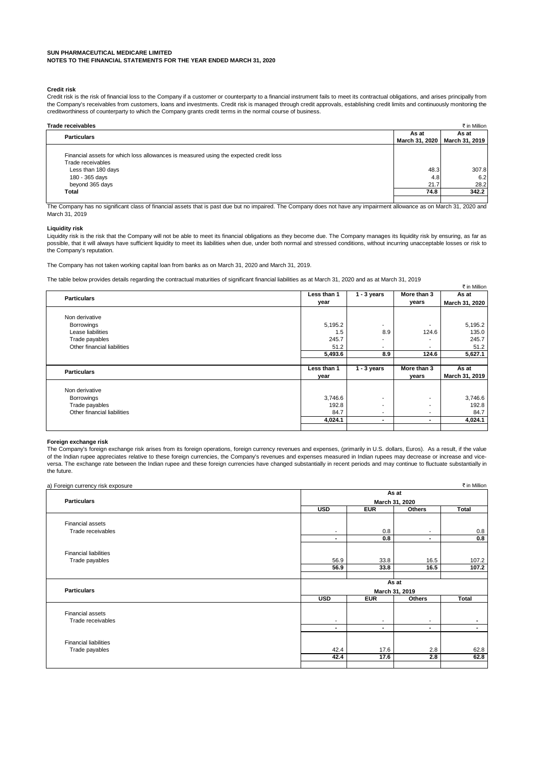#### **Credit risk**

Credit risk is the risk of financial loss to the Company if a customer or counterparty to a financial instrument fails to meet its contractual obligations, and arises principally from the Company's receivables from customers, loans and investments. Credit risk is managed through credit approvals, establishing credit limits and continuously monitoring the creditworthiness of counterparty to which the Company grants credit terms in the normal course of business.

| <b>Trade receivables</b>                                                              |                | ₹ in Million   |
|---------------------------------------------------------------------------------------|----------------|----------------|
| <b>Particulars</b>                                                                    |                | As at          |
|                                                                                       | March 31, 2020 | March 31, 2019 |
|                                                                                       |                |                |
| Financial assets for which loss allowances is measured using the expected credit loss |                |                |
| Trade receivables                                                                     |                |                |
| Less than 180 days                                                                    | 48.3           | 307.8          |
| 180 - 365 days                                                                        | 4.8            | 6.2            |
| beyond 365 days                                                                       | 21.7           | 28.2           |
| Total                                                                                 | 74.8           | 342.2          |
|                                                                                       |                |                |

The Company has no significant class of financial assets that is past due but no impaired. The Company does not have any impairment allowance as on March 31, 2020 and March 31, 2019

#### **Liquidity risk**

Liquidity risk is the risk that the Company will not be able to meet its financial obligations as they become due. The Company manages its liquidity risk by ensuring, as far as possible, that it will always have sufficient liquidity to meet its liabilities when due, under both normal and stressed conditions, without incurring unacceptable losses or risk to the Company's reputation.

The Company has not taken working capital loan from banks as on March 31, 2020 and March 31, 2019.

The table below provides details regarding the contractual maturities of significant financial liabilities as at March 31, 2020 and as at March 31, 2019

|                             |             |                          |             | ₹ in Million   |
|-----------------------------|-------------|--------------------------|-------------|----------------|
| <b>Particulars</b>          | Less than 1 | $1 - 3$ years            | More than 3 | As at          |
|                             | year        |                          | years       | March 31, 2020 |
| Non derivative              |             |                          |             |                |
| <b>Borrowings</b>           | 5,195.2     |                          |             | 5,195.2        |
| Lease liabilities           | 1.5         | 8.9                      | 124.6       | 135.0          |
| Trade payables              | 245.7       | $\overline{\phantom{a}}$ |             | 245.7          |
| Other financial liabilities | 51.2        | $\overline{\phantom{a}}$ | ۰.          | 51.2           |
|                             | 5,493.6     | 8.9                      | 124.6       | 5,627.1        |
|                             |             |                          |             |                |
| <b>Particulars</b>          | Less than 1 | $1 - 3$ years            | More than 3 | As at          |
|                             | year        |                          | years       | March 31, 2019 |
| Non derivative              |             |                          |             |                |
| Borrowings                  | 3,746.6     | $\overline{\phantom{a}}$ | ۰.          | 3,746.6        |
| Trade payables              | 192.8       | ٠                        | ۰.          | 192.8          |
| Other financial liabilities | 84.7        |                          |             | 84.7           |
|                             | 4,024.1     | ۰.                       |             | 4,024.1        |
|                             |             |                          |             |                |

#### **Foreign exchange risk**

The Company's foreign exchange risk arises from its foreign operations, foreign currency revenues and expenses, (primarily in U.S. dollars, Euros). As a result, if the value of the Indian rupee appreciates relative to these foreign currencies, the Company's revenues and expenses measured in Indian rupees may decrease or increase and viceversa. The exchange rate between the Indian rupee and these foreign currencies have changed substantially in recent periods and may continue to fluctuate substantially in the future.

| a) Foreign currency risk exposure |                          |                          |                | ₹ in Million   |
|-----------------------------------|--------------------------|--------------------------|----------------|----------------|
|                                   |                          |                          | As at          |                |
| <b>Particulars</b>                |                          | March 31, 2020           |                |                |
|                                   | <b>USD</b>               | <b>EUR</b>               | <b>Others</b>  | Total          |
| Financial assets                  |                          |                          |                |                |
| Trade receivables                 | $\overline{\phantom{a}}$ | 0.8                      |                | 0.8            |
|                                   | $\blacksquare$           | 0.8                      |                | 0.8            |
| <b>Financial liabilities</b>      |                          |                          |                |                |
| Trade payables                    | 56.9                     | 33.8                     | 16.5           | 107.2          |
|                                   | 56.9                     | 33.8                     | 16.5           | 107.2          |
|                                   |                          |                          |                |                |
|                                   |                          |                          | As at          |                |
| <b>Particulars</b>                |                          |                          | March 31, 2019 |                |
|                                   | <b>USD</b>               | <b>EUR</b>               | Others         | <b>Total</b>   |
| Financial assets                  |                          |                          |                |                |
| Trade receivables                 | $\overline{\phantom{a}}$ | $\overline{\phantom{a}}$ | $\blacksquare$ | $\blacksquare$ |
|                                   | $\blacksquare$           |                          | $\blacksquare$ | $\sim$         |
| <b>Financial liabilities</b>      |                          |                          |                |                |
| Trade payables                    | 42.4                     | 17.6                     | 2.8            | 62.8           |
|                                   | 42.4                     | 17.6                     | 2.8            | 62.8           |
|                                   |                          |                          |                |                |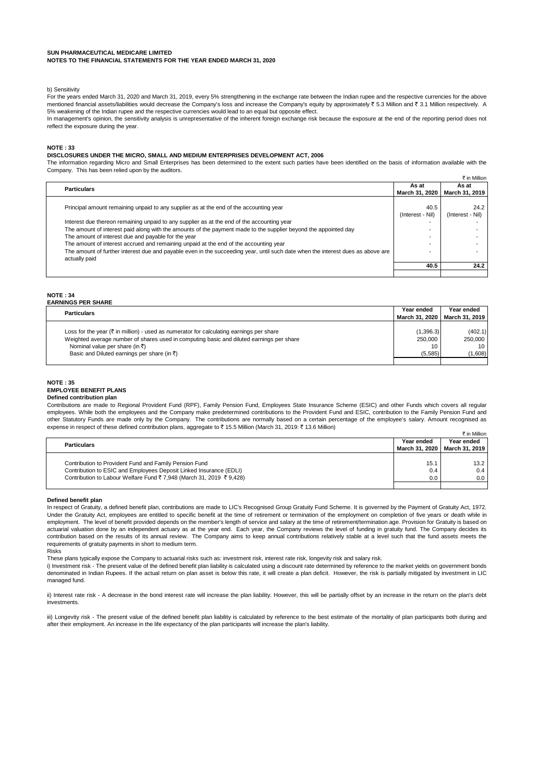#### b) Sensitivity

For the years ended March 31, 2020 and March 31, 2019, every 5% strengthening in the exchange rate between the Indian rupee and the respective currencies for the above mentioned financial assets/liabilities would decrease the Company's loss and increase the Company's equity by approximately ₹ 5.3 Million and ₹ 3.1 Million respectively. A 5% weakening of the Indian rupee and the respective currencies would lead to an equal but opposite effect.

In management's opinion, the sensitivity analysis is unrepresentative of the inherent foreign exchange risk because the exposure at the end of the reporting period does not reflect the exposure during the year.

#### **NOTE : 33**

#### **DISCLOSURES UNDER THE MICRO, SMALL AND MEDIUM ENTERPRISES DEVELOPMENT ACT, 2006**

The information regarding Micro and Small Enterprises has been determined to the extent such parties have been identified on the basis of information available with the Company. This has been relied upon by the auditors.

|                                                                                                                                 |                  | ₹ in Million     |
|---------------------------------------------------------------------------------------------------------------------------------|------------------|------------------|
| <b>Particulars</b>                                                                                                              | As at            | As at            |
|                                                                                                                                 | March 31, 2020   | March 31, 2019   |
|                                                                                                                                 |                  |                  |
| Principal amount remaining unpaid to any supplier as at the end of the accounting year                                          | 40.5             | 24.2             |
|                                                                                                                                 | (Interest - Nil) | (Interest - Nil) |
| Interest due thereon remaining unpaid to any supplier as at the end of the accounting year                                      |                  |                  |
| The amount of interest paid along with the amounts of the payment made to the supplier beyond the appointed day                 |                  |                  |
| The amount of interest due and payable for the year                                                                             |                  |                  |
| The amount of interest accrued and remaining unpaid at the end of the accounting year                                           |                  |                  |
| The amount of further interest due and payable even in the succeeding year, until such date when the interest dues as above are |                  |                  |
| actually paid                                                                                                                   |                  |                  |
|                                                                                                                                 | 40.5             | 24.2             |
|                                                                                                                                 |                  |                  |

#### **NOTE : 34 EARNINGS PER SHARE**

| <b>Particulars</b>                                                                                  | Year ended     | Year ended     |
|-----------------------------------------------------------------------------------------------------|----------------|----------------|
|                                                                                                     | March 31, 2020 | March 31, 2019 |
|                                                                                                     |                |                |
| Loss for the year $(\bar{\tau})$ in million) - used as numerator for calculating earnings per share | (1,396.3)      | (402.1)        |
| Weighted average number of shares used in computing basic and diluted earnings per share            | 250,000        | 250,000        |
| Nominal value per share (in ₹)                                                                      | 10             | 10 I           |
| Basic and Diluted earnings per share (in $\bar{z}$ )                                                | (5,585)        | (1,608)        |
|                                                                                                     |                |                |

#### **NOTE : 35 EMPLOYEE BENEFIT PLANS Defined contribution plan**

 $\pm$  in Million Contributions are made to Regional Provident Fund (RPF), Family Pension Fund, Employees State Insurance Scheme (ESIC) and other Funds which covers all regular employees. While both the employees and the Company make predetermined contributions to the Provident Fund and ESIC, contribution to the Family Pension Fund and other Statutory Funds are made only by the Company. The contributions are normally based on a certain percentage of the employee's salary. Amount recognised as expense in respect of these defined contribution plans, aggregate to ₹ 15.5 Million (March 31, 2019: ₹ 13.6 Million)

|                                                                    |            | т на понисла                    |
|--------------------------------------------------------------------|------------|---------------------------------|
| <b>Particulars</b>                                                 | Year ended | Year ended                      |
|                                                                    |            | March 31, 2020   March 31, 2019 |
|                                                                    |            |                                 |
| Contribution to Provident Fund and Family Pension Fund             | 15.1       | 13.2                            |
| Contribution to ESIC and Employees Deposit Linked Insurance (EDLI) | 0.4        | $0.4 \;$                        |
| Contribution to Labour Welfare Fund ₹7,948 (March 31, 2019 ₹9,428) | 0.0        | 0.0 <sub>1</sub>                |
|                                                                    |            |                                 |

#### **Defined benefit plan**

In respect of Gratuity, a defined benefit plan, contributions are made to LIC's Recognised Group Gratuity Fund Scheme. It is governed by the Payment of Gratuity Act, 1972. Under the Gratuity Act, employees are entitled to specific benefit at the time of retirement or termination of the employment on completion of five years or death while in employment. The level of benefit provided depends on the member's length of service and salary at the time of retirement/termination age. Provision for Gratuity is based on actuarial valuation done by an independent actuary as at the year end. Each year, the Company reviews the level of funding in gratuity fund. The Company decides its contribution based on the results of its annual review. The Company aims to keep annual contributions relatively stable at a level such that the fund assets meets the requirements of gratuity payments in short to medium term.

Risks

These plans typically expose the Company to actuarial risks such as: investment risk, interest rate risk, longevity risk and salary risk.

i) Investment risk - The present value of the defined benefit plan liability is calculated using a discount rate determined by reference to the market yields on government bonds denominated in Indian Rupees. If the actual return on plan asset is below this rate, it will create a plan deficit. However, the risk is partially mitigated by investment in LIC managed fund.

ii) Interest rate risk - A decrease in the bond interest rate will increase the plan liability. However, this will be partially offset by an increase in the return on the plan's debt investments.

iii) Longevity risk - The present value of the defined benefit plan liability is calculated by reference to the best estimate of the mortality of plan participants both during and after their employment. An increase in the life expectancy of the plan participants will increase the plan's liability.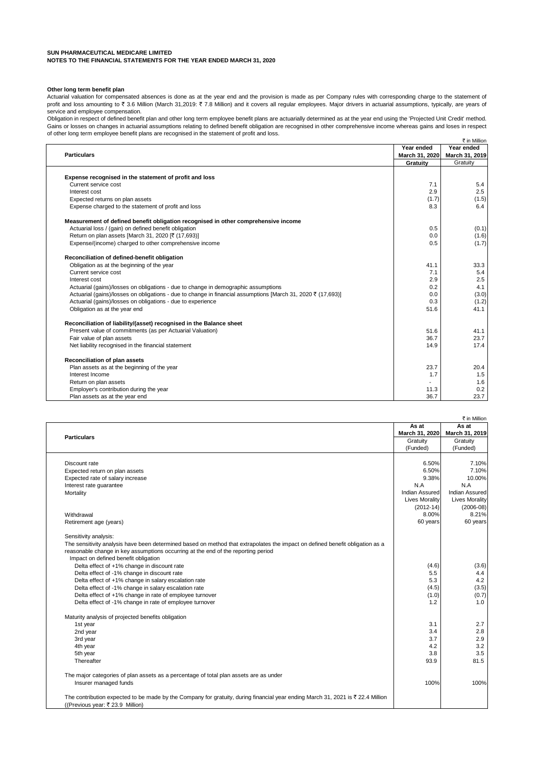#### **Other long term benefit plan**

Actuarial valuation for compensated absences is done as at the year end and the provision is made as per Company rules with corresponding charge to the statement of profit and loss amounting to ₹ 3.6 Million (March 31,2019: ₹ 7.8 Million) and it covers all regular employees. Major drivers in actuarial assumptions, typically, are years of service and employee compensation.

 $\pm$  in Million Obligation in respect of defined benefit plan and other long term employee benefit plans are actuarially determined as at the year end using the 'Projected Unit Credit' method. Gains or losses on changes in actuarial assumptions relating to defined benefit obligation are recognised in other comprehensive income whereas gains and loses in respect of other long term employee benefit plans are recognised in the statement of profit and loss.

|                                                                                                              |                | K IN MIIIION   |
|--------------------------------------------------------------------------------------------------------------|----------------|----------------|
|                                                                                                              | Year ended     | Year ended     |
| <b>Particulars</b>                                                                                           | March 31, 2020 | March 31, 2019 |
|                                                                                                              | Gratuity       | Gratuity       |
|                                                                                                              |                |                |
| Expense recognised in the statement of profit and loss                                                       |                |                |
| Current service cost                                                                                         | 7.1            | 5.4            |
| Interest cost                                                                                                | 2.9            | 2.5            |
| Expected returns on plan assets                                                                              | (1.7)          | (1.5)          |
| Expense charged to the statement of profit and loss                                                          | 8.3            | 6.4            |
| Measurement of defined benefit obligation recognised in other comprehensive income                           |                |                |
| Actuarial loss / (gain) on defined benefit obligation                                                        | 0.5            | (0.1)          |
| Return on plan assets [March 31, 2020 [₹ (17,693)]                                                           | 0.0            | (1.6)          |
| Expense/(income) charged to other comprehensive income                                                       | 0.5            | (1.7)          |
| Reconciliation of defined-benefit obligation                                                                 |                |                |
| Obligation as at the beginning of the year                                                                   | 41.1           | 33.3           |
| Current service cost                                                                                         | 7.1            | 5.4            |
| Interest cost                                                                                                | 2.9            | 2.5            |
| Actuarial (gains)/losses on obligations - due to change in demographic assumptions                           | 0.2            | 4.1            |
| Actuarial (gains)/losses on obligations - due to change in financial assumptions [March 31, 2020 ₹ (17,693)] | 0.0            | (3.0)          |
| Actuarial (gains)/losses on obligations - due to experience                                                  | 0.3            |                |
|                                                                                                              | 51.6           | (1.2)<br>41.1  |
| Obligation as at the year end                                                                                |                |                |
| Reconciliation of liability/(asset) recognised in the Balance sheet                                          |                |                |
| Present value of commitments (as per Actuarial Valuation)                                                    | 51.6           | 41.1           |
| Fair value of plan assets                                                                                    | 36.7           | 23.7           |
| Net liability recognised in the financial statement                                                          | 14.9           | 17.4           |
| Reconciliation of plan assets                                                                                |                |                |
| Plan assets as at the beginning of the year                                                                  | 23.7           | 20.4           |
| Interest Income                                                                                              | 1.7            | 1.5            |
| Return on plan assets                                                                                        |                | 1.6            |
| Employer's contribution during the year                                                                      | 11.3           | 0.2            |
| Plan assets as at the year end                                                                               | 36.7           | 23.7           |
|                                                                                                              |                |                |

|                                                                                                                                 |                       | ₹ in Million          |
|---------------------------------------------------------------------------------------------------------------------------------|-----------------------|-----------------------|
|                                                                                                                                 | As at                 | As at                 |
| <b>Particulars</b>                                                                                                              | March 31, 2020        | March 31, 2019        |
|                                                                                                                                 | Gratuity              | Gratuity              |
|                                                                                                                                 | (Funded)              | (Funded)              |
|                                                                                                                                 |                       |                       |
| Discount rate                                                                                                                   | 6.50%                 | 7.10%                 |
| Expected return on plan assets                                                                                                  | 6.50%                 | 7.10%                 |
| Expected rate of salary increase                                                                                                | 9.38%                 | 10.00%                |
| Interest rate guarantee                                                                                                         | N.A                   | N.A                   |
| Mortality                                                                                                                       | Indian Assured        | Indian Assured        |
|                                                                                                                                 | <b>Lives Morality</b> | <b>Lives Morality</b> |
|                                                                                                                                 | $(2012 - 14)$         | $(2006-08)$           |
| Withdrawal                                                                                                                      | 8.00%                 | 8.21%                 |
| Retirement age (years)                                                                                                          | 60 years              | 60 years              |
| Sensitivity analysis:                                                                                                           |                       |                       |
| The sensitivity analysis have been determined based on method that extrapolates the impact on defined benefit obligation as a   |                       |                       |
| reasonable change in key assumptions occurring at the end of the reporting period                                               |                       |                       |
| Impact on defined benefit obligation                                                                                            |                       |                       |
| Delta effect of +1% change in discount rate                                                                                     | (4.6)                 | (3.6)                 |
| Delta effect of -1% change in discount rate                                                                                     | 5.5                   | 4.4                   |
| Delta effect of +1% change in salary escalation rate                                                                            | 5.3                   | 4.2                   |
| Delta effect of -1% change in salary escalation rate                                                                            | (4.5)                 | (3.5)                 |
| Delta effect of +1% change in rate of employee turnover                                                                         | (1.0)                 | (0.7)                 |
| Delta effect of -1% change in rate of employee turnover                                                                         | 1.2                   | 1.0                   |
| Maturity analysis of projected benefits obligation                                                                              |                       |                       |
| 1st year                                                                                                                        | 3.1                   | 2.7                   |
| 2nd year                                                                                                                        | 3.4                   | 2.8                   |
| 3rd year                                                                                                                        | 3.7                   | 2.9                   |
| 4th year                                                                                                                        | 4.2                   | 3.2                   |
| 5th year                                                                                                                        | 3.8                   | 3.5                   |
| Thereafter                                                                                                                      | 93.9                  | 81.5                  |
| The major categories of plan assets as a percentage of total plan assets are as under                                           |                       |                       |
| Insurer managed funds                                                                                                           | 100%                  | 100%                  |
| The contribution expected to be made by the Company for gratuity, during financial year ending March 31, 2021 is ₹ 22.4 Million |                       |                       |
| ((Previous year: ₹ 23.9 Million)                                                                                                |                       |                       |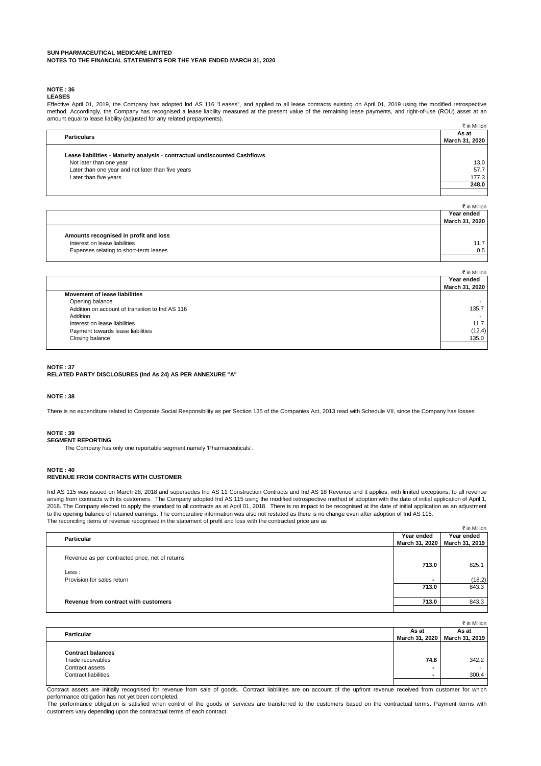# **NOTE : 36**

**LEASES**

 $\bar{\tau}$  in Million Effective April 01, 2019, the Company has adopted lnd AS 116 "Leases", and applied to all lease contracts existing on April 01, 2019 using the modified retrospective method. Accordingly, the Company has recognised a lease liability measured at the present value of the remaining lease payments, and right-of-use (ROU) asset at an amount equal to lease liability (adjusted for any related prepayments).

| <b>Particulars</b>                                                         | As at          |
|----------------------------------------------------------------------------|----------------|
|                                                                            | March 31, 2020 |
|                                                                            |                |
| Lease liabilities - Maturity analysis - contractual undiscounted Cashflows |                |
| Not later than one year                                                    | 13.0           |
| Later than one year and not later than five years                          | 57.7           |
| Later than five years                                                      | 177.3          |
|                                                                            | 248.0          |
|                                                                            |                |

|                                        | ₹ in Million   |
|----------------------------------------|----------------|
|                                        | Year ended     |
|                                        | March 31, 2020 |
|                                        |                |
| Amounts recognised in profit and loss  |                |
| Interest on lease liabilities          | 11.7           |
| Expenses relating to short-term leases | 0.5            |
|                                        |                |

|                                                 | ₹ in Million   |
|-------------------------------------------------|----------------|
|                                                 | Year ended     |
|                                                 | March 31, 2020 |
| <b>Movement of lease liabilities</b>            |                |
| Opening balance                                 |                |
| Addition on account of transition to Ind AS 116 | 135.7          |
| Addition                                        |                |
| Interest on lease liabilities                   | 11.7           |
| Payment towards lease liabilities               | (12.4)         |
| Closing balance                                 | 135.0          |
|                                                 |                |

#### **NOTE : 37 RELATED PARTY DISCLOSURES (Ind As 24) AS PER ANNEXURE "A"**

#### **NOTE : 38**

There is no expenditure related to Corporate Social Responsibility as per Section 135 of the Companies Act, 2013 read with Schedule VII, since the Company has losses

#### **NOTE : 39**

**SEGMENT REPORTING**

The Company has only one reportable segment namely 'Pharmaceuticals'.

# **NOTE : 40**

#### **REVENUE FROM CONTRACTS WITH CUSTOMER**

Ind AS 115 was issued on March 28, 2018 and supersedes Ind AS 11 Construction Contracts and Ind AS 18 Revenue and it applies, with limited exceptions, to all revenue arising from contracts with its customers. The Company adopted Ind AS 115 using the modified retrospective method of adoption with the date of initial application of April 1, 2018. The Company elected to apply the standard to all contracts as at April 01, 2018. There is no impact to be recognised at the date of initial application as an adjustment to the opening balance of retained earnings. The comparative information was also not restated as there is no change even after adoption of Ind AS 115. The reconciling items of revenue recognised in the statement of profit and loss with the contracted price are as

|                                                 |                | ₹ in Million   |
|-------------------------------------------------|----------------|----------------|
| <b>Particular</b>                               | Year ended     | Year ended     |
|                                                 | March 31, 2020 | March 31, 2019 |
| Revenue as per contracted price, net of returns |                |                |
| Less:                                           | 713.0          | 825.1          |
| Provision for sales return                      |                | (18.2)         |
|                                                 | 713.0          | 843.3          |
| Revenue from contract with customers            | 713.0          | 843.3          |
|                                                 |                |                |

|                             |       | ₹ in Million                    |
|-----------------------------|-------|---------------------------------|
| Particular                  | As at | As at                           |
|                             |       | March 31, 2020   March 31, 2019 |
|                             |       |                                 |
| <b>Contract balances</b>    |       |                                 |
| Trade receivables           | 74.8  | 342.2                           |
| Contract assets             |       |                                 |
| <b>Contract liabilities</b> |       | 300.4                           |
|                             |       |                                 |

Contract assets are initially recognised for revenue from sale of goods. Contract liabilities are on account of the upfront revenue received from customer for which performance obligation has not yet been completed.

The performance obligation is satisfied when control of the goods or services are transferred to the customers based on the contractual terms. Payment terms with customers vary depending upon the contractual terms of each contract.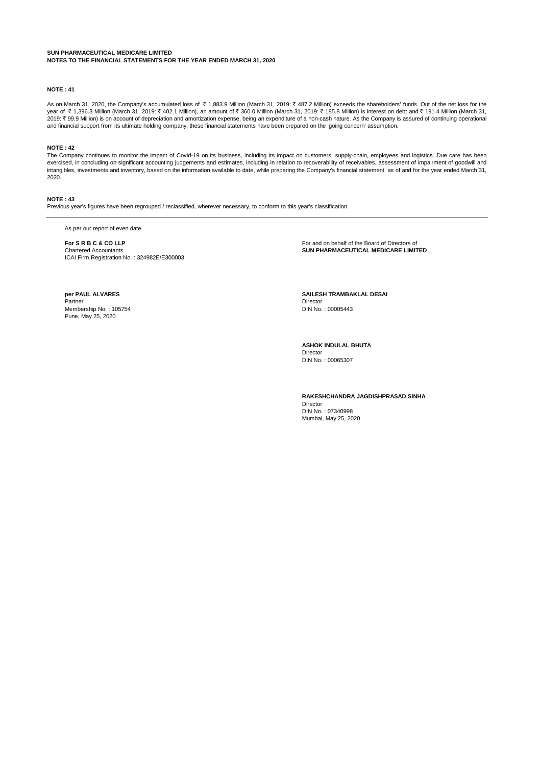#### **NOTE : 41**

As on March 31, 2020, the Company's accumulated loss of ₹1,883.9 Million (March 31, 2019: ₹487.2 Million) exceeds the shareholders' funds. Out of the net loss for the year of ₹1,396.3 Million (March 31, 2019: ₹ 402.1 Million), an amount of ₹ 360.0 Million (March 31, 2019: ₹ 185.8 Million) is interest on debt and ₹ 191.4 Million (March 31, 2019: ` 99.9 Million) is on account of depreciation and amortization expense, being an expenditure of a non-cash nature. As the Company is assured of continuing operational and financial support from its ultimate holding company, these financial statements have been prepared on the 'going concern' assumption.

#### **NOTE : 42**

The Company continues to monitor the impact of Covid-19 on its business, including its impact on customers, supply-chain, employees and logistics. Due care has been exercised, in concluding on significant accounting judgements and estimates, including in relation to recoverability of receivables, assessment of impairment of goodwill and intangibles, investments and inventory, based on the information available to date, while preparing the Company's financial statement as of and for the year ended March 31, 2020.

#### **NOTE : 43**

Previous year's figures have been regrouped / reclassified, wherever necessary, to conform to this year's classification.

As per our report of even date

**For S R B C & CO LLP**<br>
Chartered Accountants<br>
Chartered Accountants<br> **SUN PHARMACEUTICAL MEDICARE LIMIT** ICAI Firm Registration No. : 324982E/E300003

**SUN PHARMACEUTICAL MEDICARE LIMITED** 

**Partner Control Control Control Control Control Control Control Control Control Control Control Control Control Control Control Control Control Control Control Control Control Control Control Control Control Control Contr** Membership No. : 105754 Pune, May 25, 2020

**SAILESH TRAMBAKLAL DESAI**<br>Director

**ASHOK INDULAL BHUTA** Director

DIN No. : 00065307

**RAKESHCHANDRA JAGDISHPRASAD SINHA** Director DIN No. : 07340998 Mumbai, May 25, 2020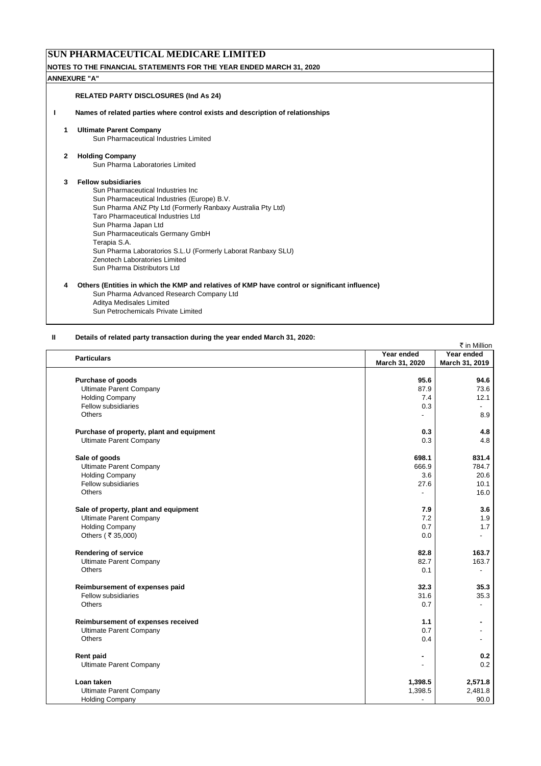# **SUN PHARMACEUTICAL MEDICARE LIMITED**

**NOTES TO THE FINANCIAL STATEMENTS FOR THE YEAR ENDED MARCH 31, 2020**

#### **ANNEXURE "A"**

#### **RELATED PARTY DISCLOSURES (Ind As 24)**

**I Names of related parties where control exists and description of relationships**

#### **1 Ultimate Parent Company**

Sun Pharmaceutical Industries Limited

#### **2 Holding Company**

Sun Pharma Laboratories Limited

#### **3 Fellow subsidiaries**

Sun Pharmaceutical Industries Inc Sun Pharmaceutical Industries (Europe) B.V. Sun Pharma ANZ Pty Ltd (Formerly Ranbaxy Australia Pty Ltd) Taro Pharmaceutical Industries Ltd Sun Pharma Japan Ltd Sun Pharmaceuticals Germany GmbH Terapia S.A. Sun Pharma Laboratorios S.L.U (Formerly Laborat Ranbaxy SLU) Zenotech Laboratories Limited Sun Pharma Distributors Ltd

#### **4 Others (Entities in which the KMP and relatives of KMP have control or significant influence)** Sun Pharma Advanced Research Company Ltd Aditya Medisales Limited

Sun Petrochemicals Private Limited

#### **II Details of related party transaction during the year ended March 31, 2020:**

| ₹ in Million                              |                |                |
|-------------------------------------------|----------------|----------------|
| <b>Particulars</b>                        | Year ended     | Year ended     |
|                                           | March 31, 2020 | March 31, 2019 |
|                                           |                |                |
| Purchase of goods                         | 95.6           | 94.6           |
| <b>Ultimate Parent Company</b>            | 87.9           | 73.6           |
| <b>Holding Company</b>                    | 7.4            | 12.1           |
| Fellow subsidiaries                       | 0.3            |                |
| Others                                    | $\overline{a}$ | 8.9            |
| Purchase of property, plant and equipment | 0.3            | 4.8            |
| <b>Ultimate Parent Company</b>            | 0.3            | 4.8            |
| Sale of goods                             | 698.1          | 831.4          |
| <b>Ultimate Parent Company</b>            | 666.9          | 784.7          |
| <b>Holding Company</b>                    | 3.6            | 20.6           |
| Fellow subsidiaries                       | 27.6           | 10.1           |
| <b>Others</b>                             | ÷,             | 16.0           |
| Sale of property, plant and equipment     | 7.9            | 3.6            |
| <b>Ultimate Parent Company</b>            | 7.2            | 1.9            |
| <b>Holding Company</b>                    | 0.7            | 1.7            |
| Others (₹35,000)                          | 0.0            | $\overline{a}$ |
| <b>Rendering of service</b>               | 82.8           | 163.7          |
| <b>Ultimate Parent Company</b>            | 82.7           | 163.7          |
| Others                                    | 0.1            | $\blacksquare$ |
| Reimbursement of expenses paid            | 32.3           | 35.3           |
| Fellow subsidiaries                       | 31.6           | 35.3           |
| <b>Others</b>                             | 0.7            | ٠              |
| Reimbursement of expenses received        | 1.1            |                |
| <b>Ultimate Parent Company</b>            | 0.7            |                |
| <b>Others</b>                             | 0.4            | ٠              |
| Rent paid                                 |                | 0.2            |
| <b>Ultimate Parent Company</b>            |                | 0.2            |
| Loan taken                                | 1,398.5        | 2,571.8        |
| <b>Ultimate Parent Company</b>            | 1,398.5        | 2,481.8        |
| <b>Holding Company</b>                    |                | 90.0           |